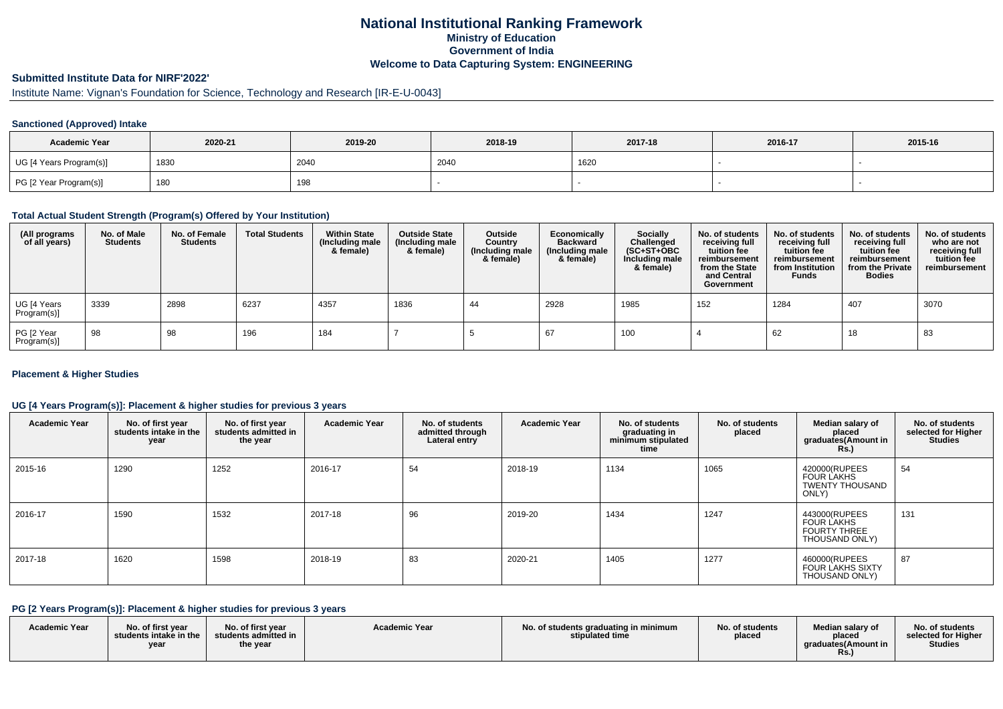## **National Institutional Ranking FrameworkMinistry of Education Government of IndiaWelcome to Data Capturing System: ENGINEERING**

# **Submitted Institute Data for NIRF'2022'**

# Institute Name: Vignan's Foundation for Science, Technology and Research [IR-E-U-0043]

### **Sanctioned (Approved) Intake**

| <b>Academic Year</b>    | 2020-21 | 2019-20 | 2018-19 | 2017-18 | 2016-17 | 2015-16 |
|-------------------------|---------|---------|---------|---------|---------|---------|
| UG [4 Years Program(s)] | 1830    | 2040    | 2040    | 1620    |         |         |
| PG [2 Year Program(s)]  | 180     | 198     |         |         |         |         |

#### **Total Actual Student Strength (Program(s) Offered by Your Institution)**

| (All programs<br>of all years) | No. of Male<br><b>Students</b> | No. of Female<br><b>Students</b> | <b>Total Students</b> | <b>Within State</b><br>(Including male<br>& female) | <b>Outside State</b><br>(Including male<br>& female) | Outside<br>Country<br>(Including male<br>& female) | Economically<br><b>Backward</b><br>(Including male<br>& female) | <b>Socially</b><br>Challenged<br>$(SC+ST+OBC)$<br>Including male<br>& female) | No. of students<br>receiving full<br>tuition fee<br>reimbursement<br>from the State<br>and Central<br>Government | No. of students<br>receiving full<br>tuition fee<br>reimbursement<br>from Institution<br><b>Funds</b> | No. of students<br>receiving full<br>tuition fee<br>reimbursement<br>from the Private<br><b>Bodies</b> | No. of students<br>who are not<br>receiving full<br>tuition fee<br>reimbursement |
|--------------------------------|--------------------------------|----------------------------------|-----------------------|-----------------------------------------------------|------------------------------------------------------|----------------------------------------------------|-----------------------------------------------------------------|-------------------------------------------------------------------------------|------------------------------------------------------------------------------------------------------------------|-------------------------------------------------------------------------------------------------------|--------------------------------------------------------------------------------------------------------|----------------------------------------------------------------------------------|
| UG [4 Years<br>Program(s)]     | 3339                           | 2898                             | 6237                  | 4357                                                | 1836                                                 | 44                                                 | 2928                                                            | 1985                                                                          | 152                                                                                                              | 1284                                                                                                  | 407                                                                                                    | 3070                                                                             |
| PG [2 Year<br>Program(s)]      | 98                             | 98                               | 196                   | 184                                                 |                                                      |                                                    | 67                                                              | 100                                                                           |                                                                                                                  | 62                                                                                                    | 18                                                                                                     | 83                                                                               |

### **Placement & Higher Studies**

### **UG [4 Years Program(s)]: Placement & higher studies for previous 3 years**

| <b>Academic Year</b> | No. of first year<br>students intake in the<br>year | No. of first year<br>students admitted in<br>the year | <b>Academic Year</b> | No. of students<br>admitted through<br>Lateral entry | <b>Academic Year</b> | No. of students<br>graduating in<br>minimum stipulated<br>time | No. of students<br>placed | Median salary of<br>placed<br>graduates(Amount in<br><b>Rs.)</b>            | No. of students<br>selected for Higher<br><b>Studies</b> |
|----------------------|-----------------------------------------------------|-------------------------------------------------------|----------------------|------------------------------------------------------|----------------------|----------------------------------------------------------------|---------------------------|-----------------------------------------------------------------------------|----------------------------------------------------------|
| 2015-16              | 1290                                                | 1252                                                  | 2016-17              | 54                                                   | 2018-19              | 1134                                                           | 1065                      | 420000(RUPEES<br><b>FOUR LAKHS</b><br>TWENTY THOUSAND<br>ONLY)              | 54                                                       |
| 2016-17              | 1590                                                | 1532                                                  | 2017-18              | 96                                                   | 2019-20              | 1434                                                           | 1247                      | 443000(RUPEES<br><b>FOUR LAKHS</b><br><b>FOURTY THREE</b><br>THOUSAND ONLY) | 131                                                      |
| 2017-18              | 1620                                                | 1598                                                  | 2018-19              | 83                                                   | 2020-21              | 1405                                                           | 1277                      | 460000(RUPEES<br><b>FOUR LAKHS SIXTY</b><br>THOUSAND ONLY)                  | 87                                                       |

### **PG [2 Years Program(s)]: Placement & higher studies for previous 3 years**

| <b>Academic Year</b> | No. of first year<br>students intake in the<br>year | No. of first year<br>students admitted in<br>the year | <b>Academic Year</b> | No. of students graduating in minimum<br>stipulated time | No. of students<br>placed | Median salarv of<br>placed<br>araduates(Amount in<br>Rs. | No. of students<br>selected for Higher<br><b>Studies</b> |
|----------------------|-----------------------------------------------------|-------------------------------------------------------|----------------------|----------------------------------------------------------|---------------------------|----------------------------------------------------------|----------------------------------------------------------|
|----------------------|-----------------------------------------------------|-------------------------------------------------------|----------------------|----------------------------------------------------------|---------------------------|----------------------------------------------------------|----------------------------------------------------------|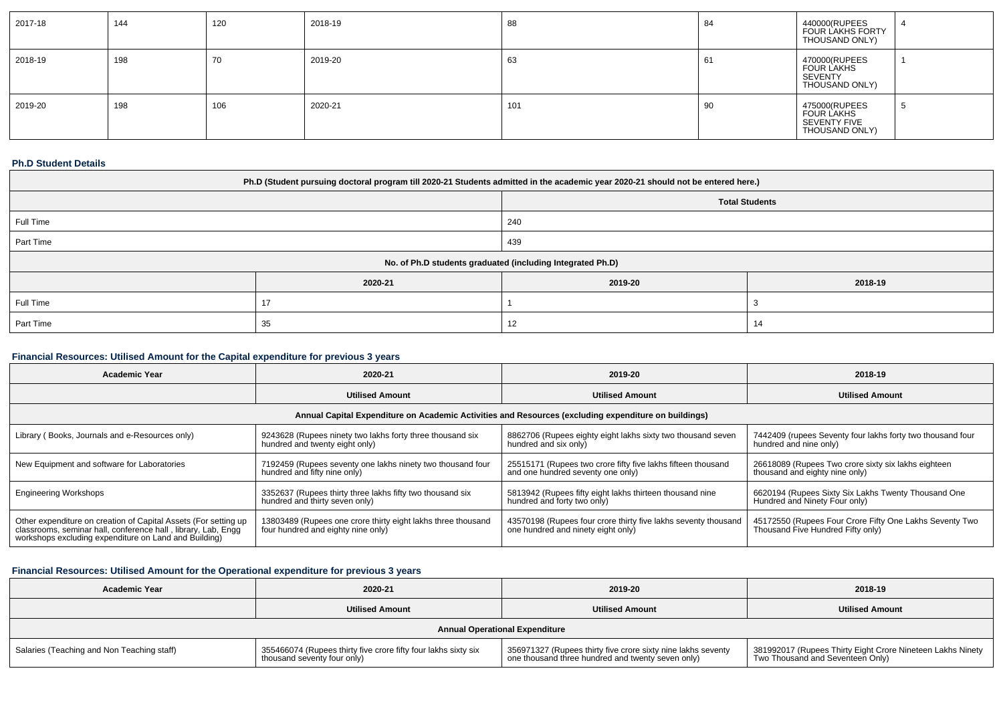| 2017-18 | 144 | 120 | 2018-19 | 88  | -84 | 440000(RUPEES<br>FOUR LAKHS FORTY<br>THOUSAND ONLY)                    |  |
|---------|-----|-----|---------|-----|-----|------------------------------------------------------------------------|--|
| 2018-19 | 198 | 70  | 2019-20 | 63  | 61  | 470000(RUPEES<br><b>FOUR LAKHS</b><br><b>SEVENTY</b><br>THOUSAND ONLY) |  |
| 2019-20 | 198 | 106 | 2020-21 | 101 | -90 | 475000(RUPEES<br>FOUR LAKHS<br>SEVENTY FIVE<br>THOUSAND ONLY)          |  |

### **Ph.D Student Details**

| Ph.D (Student pursuing doctoral program till 2020-21 Students admitted in the academic year 2020-21 should not be entered here.) |                                                            |         |         |  |  |  |
|----------------------------------------------------------------------------------------------------------------------------------|------------------------------------------------------------|---------|---------|--|--|--|
| <b>Total Students</b>                                                                                                            |                                                            |         |         |  |  |  |
| Full Time<br>240                                                                                                                 |                                                            |         |         |  |  |  |
| Part Time                                                                                                                        | 439                                                        |         |         |  |  |  |
|                                                                                                                                  | No. of Ph.D students graduated (including Integrated Ph.D) |         |         |  |  |  |
|                                                                                                                                  | 2020-21                                                    | 2019-20 | 2018-19 |  |  |  |
| Full Time                                                                                                                        |                                                            |         |         |  |  |  |
| Part Time                                                                                                                        | 12<br>35                                                   |         |         |  |  |  |

## **Financial Resources: Utilised Amount for the Capital expenditure for previous 3 years**

| 2020-21<br><b>Academic Year</b>                                                                                                                                                           |                                                                                                    | 2019-20                                                                                              | 2018-19                                                                                      |  |
|-------------------------------------------------------------------------------------------------------------------------------------------------------------------------------------------|----------------------------------------------------------------------------------------------------|------------------------------------------------------------------------------------------------------|----------------------------------------------------------------------------------------------|--|
|                                                                                                                                                                                           | <b>Utilised Amount</b>                                                                             | <b>Utilised Amount</b>                                                                               | <b>Utilised Amount</b>                                                                       |  |
|                                                                                                                                                                                           |                                                                                                    | Annual Capital Expenditure on Academic Activities and Resources (excluding expenditure on buildings) |                                                                                              |  |
| Library (Books, Journals and e-Resources only)                                                                                                                                            | 9243628 (Rupees ninety two lakhs forty three thousand six<br>hundred and twenty eight only)        | 8862706 (Rupees eighty eight lakhs sixty two thousand seven<br>hundred and six only)                 | 7442409 (rupees Seventy four lakhs forty two thousand four<br>hundred and nine only)         |  |
| New Equipment and software for Laboratories                                                                                                                                               | 7192459 (Rupees seventy one lakhs ninety two thousand four<br>hundred and fifty nine only)         | 25515171 (Rupees two crore fifty five lakhs fifteen thousand<br>and one hundred seventy one only)    | 26618089 (Rupees Two crore sixty six lakhs eighteen<br>thousand and eighty nine only)        |  |
| <b>Engineering Workshops</b>                                                                                                                                                              | 3352637 (Rupees thirty three lakhs fifty two thousand six<br>hundred and thirty seven only)        | 5813942 (Rupees fifty eight lakhs thirteen thousand nine<br>hundred and forty two only)              | 6620194 (Rupees Sixty Six Lakhs Twenty Thousand One<br>Hundred and Ninety Four only)         |  |
| Other expenditure on creation of Capital Assets (For setting up<br>classrooms, seminar hall, conference hall, library, Lab, Engg<br>workshops excluding expenditure on Land and Building) | 13803489 (Rupees one crore thirty eight lakhs three thousand<br>four hundred and eighty nine only) | 43570198 (Rupees four crore thirty five lakhs seventy thousand<br>one hundred and ninety eight only) | 45172550 (Rupees Four Crore Fifty One Lakhs Seventy Two<br>Thousand Five Hundred Fifty only) |  |

## **Financial Resources: Utilised Amount for the Operational expenditure for previous 3 years**

| <b>Academic Year</b>                       | 2020-21                                                                                       | 2019-20                                                                                                           | 2018-19                                                                                        |
|--------------------------------------------|-----------------------------------------------------------------------------------------------|-------------------------------------------------------------------------------------------------------------------|------------------------------------------------------------------------------------------------|
|                                            | <b>Utilised Amount</b>                                                                        | <b>Utilised Amount</b>                                                                                            | <b>Utilised Amount</b>                                                                         |
|                                            |                                                                                               | <b>Annual Operational Expenditure</b>                                                                             |                                                                                                |
| Salaries (Teaching and Non Teaching staff) | 355466074 (Rupees thirty five crore fifty four lakhs sixty six<br>thousand seventy four only) | 356971327 (Rupees thirty five crore sixty nine lakhs seventy<br>one thousand three hundred and twenty seven only) | 381992017 (Rupees Thirty Eight Crore Nineteen Lakhs Ninety<br>Two Thousand and Seventeen Only) |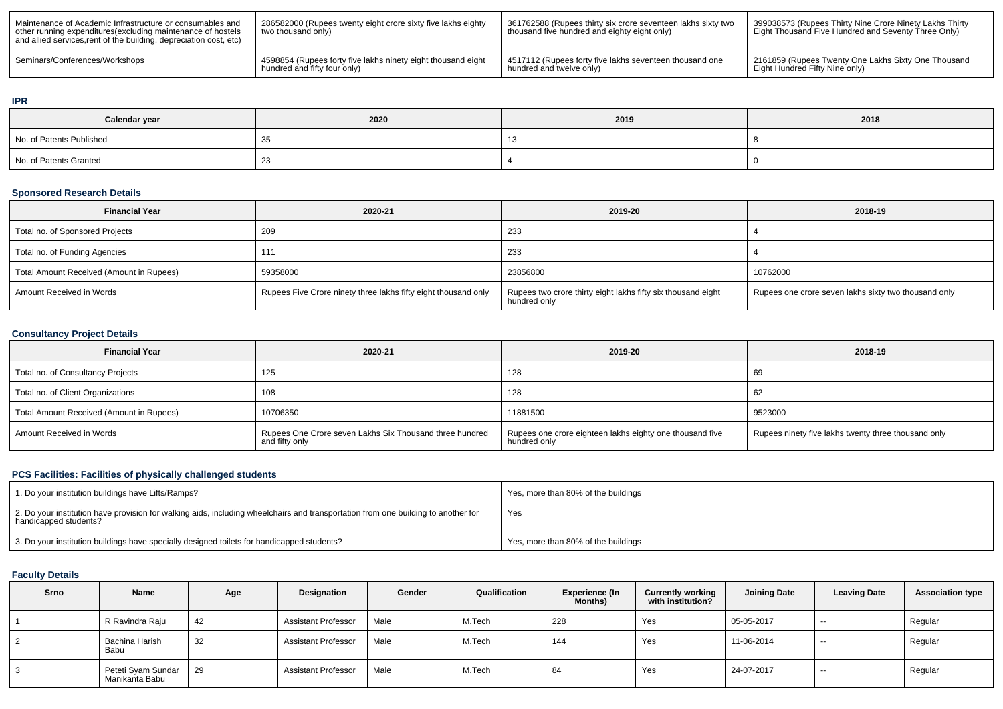| Maintenance of Academic Infrastructure or consumables and<br>other running expenditures (excluding maintenance of hostels<br>and allied services, rent of the building, depreciation cost, etc) | 286582000 (Rupees twenty eight crore sixty five lakhs eighty<br>two thousand only) | 361762588 (Rupees thirty six crore seventeen lakhs sixty two<br>thousand five hundred and eighty eight only) | 399038573 (Rupees Thirty Nine Crore Ninety Lakhs Thirty<br>Eight Thousand Five Hundred and Seventy Three Only) |
|-------------------------------------------------------------------------------------------------------------------------------------------------------------------------------------------------|------------------------------------------------------------------------------------|--------------------------------------------------------------------------------------------------------------|----------------------------------------------------------------------------------------------------------------|
| Seminars/Conferences/Workshops                                                                                                                                                                  | 4598854 (Rupees forty five lakhs ninety eight thousand eight                       | 4517112 (Rupees forty five lakhs seventeen thousand one                                                      | 2161859 (Rupees Twenty One Lakhs Sixty One Thousand                                                            |
|                                                                                                                                                                                                 | hundred and fifty four only)                                                       | hundred and twelve only)                                                                                     | Eight Hundred Fifty Nine only)                                                                                 |

### **IPR**

| Calendar year            | 2020 | 2019 | 2018 |
|--------------------------|------|------|------|
| No. of Patents Published |      |      |      |
| No. of Patents Granted   | ںے   |      |      |

### **Sponsored Research Details**

| <b>Financial Year</b>                    | 2020-21                                                        | 2019-20                                                                      | 2018-19                                              |
|------------------------------------------|----------------------------------------------------------------|------------------------------------------------------------------------------|------------------------------------------------------|
| Total no. of Sponsored Projects          | 209                                                            | 233                                                                          |                                                      |
| Total no. of Funding Agencies            | 111                                                            | 233                                                                          |                                                      |
| Total Amount Received (Amount in Rupees) | 59358000                                                       | 23856800                                                                     | 10762000                                             |
| Amount Received in Words                 | Rupees Five Crore ninety three lakhs fifty eight thousand only | Rupees two crore thirty eight lakhs fifty six thousand eight<br>hundred only | Rupees one crore seven lakhs sixty two thousand only |

## **Consultancy Project Details**

| <b>Financial Year</b>                    | 2020-21                                                                   | 2019-20                                                                  | 2018-19                                             |
|------------------------------------------|---------------------------------------------------------------------------|--------------------------------------------------------------------------|-----------------------------------------------------|
| Total no. of Consultancy Projects        | 125                                                                       | 128                                                                      | 69                                                  |
| Total no. of Client Organizations        | 108                                                                       | 128                                                                      | 62                                                  |
| Total Amount Received (Amount in Rupees) | 10706350                                                                  | 11881500                                                                 | 9523000                                             |
| Amount Received in Words                 | Rupees One Crore seven Lakhs Six Thousand three hundred<br>and fifty only | Rupees one crore eighteen lakhs eighty one thousand five<br>hundred only | Rupees ninety five lakhs twenty three thousand only |

## **PCS Facilities: Facilities of physically challenged students**

| 1. Do your institution buildings have Lifts/Ramps?                                                                                                         | Yes, more than 80% of the buildings |
|------------------------------------------------------------------------------------------------------------------------------------------------------------|-------------------------------------|
| 2. Do your institution have provision for walking aids, including wheelchairs and transportation from one building to another for<br>handicapped students? | Yes                                 |
| 3. Do your institution buildings have specially designed toilets for handicapped students?                                                                 | Yes, more than 80% of the buildings |

## **Faculty Details**

| <b>Srno</b> | Name                                 | Age | Designation                | Gender | Qualification | <b>Experience (In</b><br>Months) | <b>Currently working</b><br>with institution? | <b>Joining Date</b> | <b>Leaving Date</b> | <b>Association type</b> |
|-------------|--------------------------------------|-----|----------------------------|--------|---------------|----------------------------------|-----------------------------------------------|---------------------|---------------------|-------------------------|
|             | R Ravindra Raju                      | 42  | <b>Assistant Professor</b> | Male   | M.Tech        | 228                              | Yes                                           | 05-05-2017          | $\sim$              | Regular                 |
|             | Bachina Harish<br>Babu               | 32  | <b>Assistant Professor</b> | Male   | M.Tech        | 144                              | Yes                                           | 11-06-2014          | $- -$               | Regular                 |
|             | Peteti Syam Sundar<br>Manikanta Babu | 29  | <b>Assistant Professor</b> | Male   | M.Tech        | 84                               | Yes                                           | 24-07-2017          | $- -$               | Regular                 |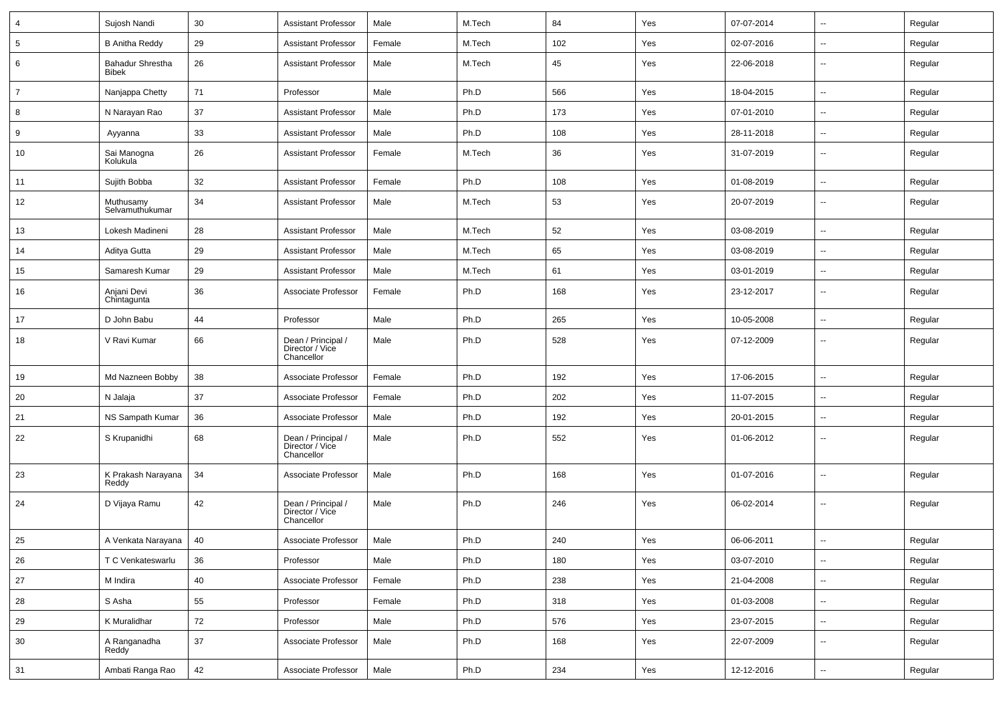| 4              | Sujosh Nandi                     | 30 | <b>Assistant Professor</b>                          | Male   | M.Tech | 84  | Yes | 07-07-2014 | ⊶.                       | Regular |
|----------------|----------------------------------|----|-----------------------------------------------------|--------|--------|-----|-----|------------|--------------------------|---------|
| 5              | <b>B Anitha Reddy</b>            | 29 | <b>Assistant Professor</b>                          | Female | M.Tech | 102 | Yes | 02-07-2016 | --                       | Regular |
| 6              | Bahadur Shrestha<br><b>Bibek</b> | 26 | <b>Assistant Professor</b>                          | Male   | M.Tech | 45  | Yes | 22-06-2018 | $\overline{\phantom{a}}$ | Regular |
| $\overline{7}$ | Nanjappa Chetty                  | 71 | Professor                                           | Male   | Ph.D   | 566 | Yes | 18-04-2015 | ⊷.                       | Regular |
| 8              | N Narayan Rao                    | 37 | <b>Assistant Professor</b>                          | Male   | Ph.D   | 173 | Yes | 07-01-2010 | $\overline{\phantom{a}}$ | Regular |
| 9              | Ayyanna                          | 33 | <b>Assistant Professor</b>                          | Male   | Ph.D   | 108 | Yes | 28-11-2018 | --                       | Regular |
| 10             | Sai Manogna<br>Kolukula          | 26 | <b>Assistant Professor</b>                          | Female | M.Tech | 36  | Yes | 31-07-2019 | $\overline{\phantom{a}}$ | Regular |
| 11             | Sujith Bobba                     | 32 | <b>Assistant Professor</b>                          | Female | Ph.D   | 108 | Yes | 01-08-2019 | $\sim$                   | Regular |
| 12             | Muthusamy<br>Selvamuthukumar     | 34 | <b>Assistant Professor</b>                          | Male   | M.Tech | 53  | Yes | 20-07-2019 | −−                       | Regular |
| 13             | Lokesh Madineni                  | 28 | <b>Assistant Professor</b>                          | Male   | M.Tech | 52  | Yes | 03-08-2019 | $\overline{\phantom{a}}$ | Regular |
| 14             | Aditya Gutta                     | 29 | <b>Assistant Professor</b>                          | Male   | M.Tech | 65  | Yes | 03-08-2019 | -−                       | Regular |
| 15             | Samaresh Kumar                   | 29 | <b>Assistant Professor</b>                          | Male   | M.Tech | 61  | Yes | 03-01-2019 | ⊷.                       | Regular |
| 16             | Anjani Devi<br>Chintagunta       | 36 | Associate Professor                                 | Female | Ph.D   | 168 | Yes | 23-12-2017 | $\overline{\phantom{a}}$ | Regular |
| 17             | D John Babu                      | 44 | Professor                                           | Male   | Ph.D   | 265 | Yes | 10-05-2008 | --                       | Regular |
| 18             | V Ravi Kumar                     | 66 | Dean / Principal /<br>Director / Vice<br>Chancellor | Male   | Ph.D   | 528 | Yes | 07-12-2009 | --                       | Regular |
| 19             | Md Nazneen Bobby                 | 38 | Associate Professor                                 | Female | Ph.D   | 192 | Yes | 17-06-2015 | --                       | Regular |
| 20             | N Jalaja                         | 37 | Associate Professor                                 | Female | Ph.D   | 202 | Yes | 11-07-2015 | --                       | Regular |
| 21             | NS Sampath Kumar                 | 36 | Associate Professor                                 | Male   | Ph.D   | 192 | Yes | 20-01-2015 | ⊷.                       | Regular |
| 22             | S Krupanidhi                     | 68 | Dean / Principal /<br>Director / Vice<br>Chancellor | Male   | Ph.D   | 552 | Yes | 01-06-2012 | --                       | Regular |
| 23             | K Prakash Narayana<br>Reddy      | 34 | Associate Professor                                 | Male   | Ph.D   | 168 | Yes | 01-07-2016 | ⊷.                       | Regular |
| 24             | D Vijaya Ramu                    | 42 | Dean / Principal /<br>Director / Vice<br>Chancellor | Male   | Ph.D   | 246 | Yes | 06-02-2014 | $\overline{\phantom{a}}$ | Regular |
| 25             | A Venkata Narayana               | 40 | Associate Professor                                 | Male   | Ph.D   | 240 | Yes | 06-06-2011 | --                       | Regular |
| 26             | T C Venkateswarlu                | 36 | Professor                                           | Male   | Ph.D   | 180 | Yes | 03-07-2010 | $\overline{\phantom{a}}$ | Regular |
| 27             | M Indira                         | 40 | Associate Professor                                 | Female | Ph.D   | 238 | Yes | 21-04-2008 | $\overline{\phantom{a}}$ | Regular |
| 28             | S Asha                           | 55 | Professor                                           | Female | Ph.D   | 318 | Yes | 01-03-2008 | $\overline{\phantom{a}}$ | Regular |
| 29             | K Muralidhar                     | 72 | Professor                                           | Male   | Ph.D   | 576 | Yes | 23-07-2015 | $\overline{\phantom{a}}$ | Regular |
| 30             | A Ranganadha<br><b>Reddy</b>     | 37 | Associate Professor                                 | Male   | Ph.D   | 168 | Yes | 22-07-2009 | ⊶.                       | Regular |
| 31             | Ambati Ranga Rao                 | 42 | Associate Professor                                 | Male   | Ph.D   | 234 | Yes | 12-12-2016 | н,                       | Regular |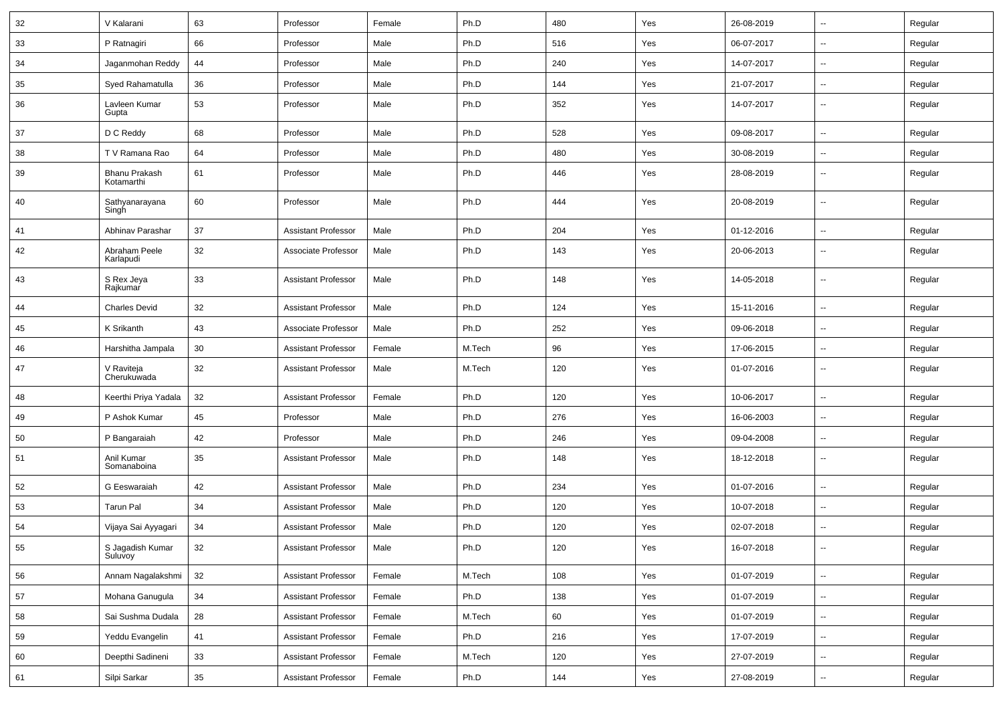| 32 | V Kalarani                  | 63     | Professor                  | Female | Ph.D   | 480 | Yes | 26-08-2019 | $\overline{\phantom{a}}$ | Regular |
|----|-----------------------------|--------|----------------------------|--------|--------|-----|-----|------------|--------------------------|---------|
| 33 | P Ratnagiri                 | 66     | Professor                  | Male   | Ph.D   | 516 | Yes | 06-07-2017 | $\sim$                   | Regular |
| 34 | Jaganmohan Reddy            | 44     | Professor                  | Male   | Ph.D   | 240 | Yes | 14-07-2017 |                          | Regular |
| 35 | Syed Rahamatulla            | 36     | Professor                  | Male   | Ph.D   | 144 | Yes | 21-07-2017 |                          | Regular |
| 36 | Lavleen Kumar<br>Gupta      | 53     | Professor                  | Male   | Ph.D   | 352 | Yes | 14-07-2017 | $\overline{\phantom{a}}$ | Regular |
| 37 | D C Reddy                   | 68     | Professor                  | Male   | Ph.D   | 528 | Yes | 09-08-2017 | $\overline{\phantom{a}}$ | Regular |
| 38 | T V Ramana Rao              | 64     | Professor                  | Male   | Ph.D   | 480 | Yes | 30-08-2019 |                          | Regular |
| 39 | Bhanu Prakash<br>Kotamarthi | 61     | Professor                  | Male   | Ph.D   | 446 | Yes | 28-08-2019 | $\overline{a}$           | Regular |
| 40 | Sathyanarayana<br>Singh     | 60     | Professor                  | Male   | Ph.D   | 444 | Yes | 20-08-2019 | $\overline{a}$           | Regular |
| 41 | Abhinav Parashar            | 37     | <b>Assistant Professor</b> | Male   | Ph.D   | 204 | Yes | 01-12-2016 | ÷.                       | Regular |
| 42 | Abraham Peele<br>Karlapudi  | 32     | Associate Professor        | Male   | Ph.D   | 143 | Yes | 20-06-2013 | $\sim$                   | Regular |
| 43 | S Rex Jeya<br>Rajkumar      | 33     | <b>Assistant Professor</b> | Male   | Ph.D   | 148 | Yes | 14-05-2018 | $\sim$                   | Regular |
| 44 | <b>Charles Devid</b>        | 32     | <b>Assistant Professor</b> | Male   | Ph.D   | 124 | Yes | 15-11-2016 | $\sim$                   | Regular |
| 45 | K Srikanth                  | 43     | Associate Professor        | Male   | Ph.D   | 252 | Yes | 09-06-2018 | $\overline{\phantom{a}}$ | Regular |
| 46 | Harshitha Jampala           | 30     | <b>Assistant Professor</b> | Female | M.Tech | 96  | Yes | 17-06-2015 |                          | Regular |
| 47 | V Raviteja<br>Cherukuwada   | 32     | <b>Assistant Professor</b> | Male   | M.Tech | 120 | Yes | 01-07-2016 | --                       | Regular |
| 48 | Keerthi Priya Yadala        | 32     | <b>Assistant Professor</b> | Female | Ph.D   | 120 | Yes | 10-06-2017 | $\overline{\phantom{a}}$ | Regular |
| 49 | P Ashok Kumar               | 45     | Professor                  | Male   | Ph.D   | 276 | Yes | 16-06-2003 | $\overline{\phantom{a}}$ | Regular |
| 50 | P Bangaraiah                | 42     | Professor                  | Male   | Ph.D   | 246 | Yes | 09-04-2008 |                          | Regular |
| 51 | Anil Kumar<br>Somanaboina   | 35     | <b>Assistant Professor</b> | Male   | Ph.D   | 148 | Yes | 18-12-2018 | $\sim$                   | Regular |
| 52 | G Eeswaraiah                | 42     | <b>Assistant Professor</b> | Male   | Ph.D   | 234 | Yes | 01-07-2016 | $\sim$                   | Regular |
| 53 | <b>Tarun Pal</b>            | 34     | <b>Assistant Professor</b> | Male   | Ph.D   | 120 | Yes | 10-07-2018 | --                       | Regular |
| 54 | Vijaya Sai Ayyagari         | 34     | <b>Assistant Professor</b> | Male   | Ph.D   | 120 | Yes | 02-07-2018 | $\overline{\phantom{a}}$ | Regular |
| 55 | S Jagadish Kumar<br>Suluvoy | 32     | Assistant Professor        | Male   | Ph.D   | 120 | Yes | 16-07-2018 |                          | Regular |
| 56 | Annam Nagalakshmi           | 32     | <b>Assistant Professor</b> | Female | M.Tech | 108 | Yes | 01-07-2019 | $\sim$                   | Regular |
| 57 | Mohana Ganugula             | $34\,$ | <b>Assistant Professor</b> | Female | Ph.D   | 138 | Yes | 01-07-2019 | $\sim$                   | Regular |
| 58 | Sai Sushma Dudala           | 28     | <b>Assistant Professor</b> | Female | M.Tech | 60  | Yes | 01-07-2019 | $\sim$                   | Regular |
| 59 | Yeddu Evangelin             | 41     | <b>Assistant Professor</b> | Female | Ph.D   | 216 | Yes | 17-07-2019 | $\sim$                   | Regular |
| 60 | Deepthi Sadineni            | 33     | <b>Assistant Professor</b> | Female | M.Tech | 120 | Yes | 27-07-2019 | $\overline{\phantom{a}}$ | Regular |
| 61 | Silpi Sarkar                | $35\,$ | <b>Assistant Professor</b> | Female | Ph.D   | 144 | Yes | 27-08-2019 | Ξ.                       | Regular |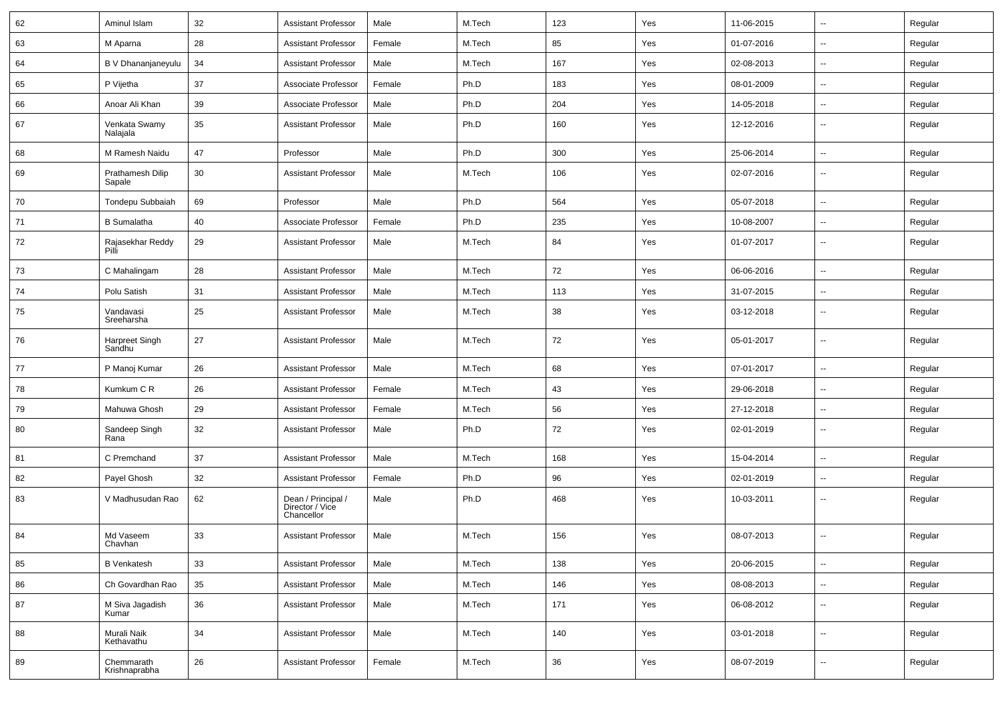| 62 | Aminul Islam                | 32 | <b>Assistant Professor</b>                          | Male   | M.Tech | 123 | Yes | 11-06-2015 | $\sim$                   | Regular |
|----|-----------------------------|----|-----------------------------------------------------|--------|--------|-----|-----|------------|--------------------------|---------|
| 63 | M Aparna                    | 28 | <b>Assistant Professor</b>                          | Female | M.Tech | 85  | Yes | 01-07-2016 | $\overline{\phantom{a}}$ | Regular |
| 64 | B V Dhananjaneyulu          | 34 | <b>Assistant Professor</b>                          | Male   | M.Tech | 167 | Yes | 02-08-2013 | $\sim$                   | Regular |
| 65 | P Vijetha                   | 37 | Associate Professor                                 | Female | Ph.D   | 183 | Yes | 08-01-2009 | --                       | Regular |
| 66 | Anoar Ali Khan              | 39 | Associate Professor                                 | Male   | Ph.D   | 204 | Yes | 14-05-2018 | $\sim$                   | Regular |
| 67 | Venkata Swamy<br>Nalajala   | 35 | <b>Assistant Professor</b>                          | Male   | Ph.D   | 160 | Yes | 12-12-2016 | $\sim$                   | Regular |
| 68 | M Ramesh Naidu              | 47 | Professor                                           | Male   | Ph.D   | 300 | Yes | 25-06-2014 | $\sim$                   | Regular |
| 69 | Prathamesh Dilip<br>Sapale  | 30 | <b>Assistant Professor</b>                          | Male   | M.Tech | 106 | Yes | 02-07-2016 | $\sim$                   | Regular |
| 70 | Tondepu Subbaiah            | 69 | Professor                                           | Male   | Ph.D   | 564 | Yes | 05-07-2018 | $\sim$                   | Regular |
| 71 | <b>B</b> Sumalatha          | 40 | Associate Professor                                 | Female | Ph.D   | 235 | Yes | 10-08-2007 | $\sim$                   | Regular |
| 72 | Rajasekhar Reddy<br>Pilí    | 29 | <b>Assistant Professor</b>                          | Male   | M.Tech | 84  | Yes | 01-07-2017 | --                       | Regular |
| 73 | C Mahalingam                | 28 | <b>Assistant Professor</b>                          | Male   | M.Tech | 72  | Yes | 06-06-2016 | $\overline{\phantom{a}}$ | Regular |
| 74 | Polu Satish                 | 31 | <b>Assistant Professor</b>                          | Male   | M.Tech | 113 | Yes | 31-07-2015 | --                       | Regular |
| 75 | Vandavasi<br>Sreeharsha     | 25 | <b>Assistant Professor</b>                          | Male   | M.Tech | 38  | Yes | 03-12-2018 | --                       | Regular |
| 76 | Harpreet Singh<br>Sandhu    | 27 | <b>Assistant Professor</b>                          | Male   | M.Tech | 72  | Yes | 05-01-2017 | --                       | Regular |
| 77 | P Manoj Kumar               | 26 | <b>Assistant Professor</b>                          | Male   | M.Tech | 68  | Yes | 07-01-2017 | Ξ.                       | Regular |
| 78 | Kumkum C R                  | 26 | <b>Assistant Professor</b>                          | Female | M.Tech | 43  | Yes | 29-06-2018 | $\overline{\phantom{a}}$ | Regular |
| 79 | Mahuwa Ghosh                | 29 | <b>Assistant Professor</b>                          | Female | M.Tech | 56  | Yes | 27-12-2018 | $\sim$                   | Regular |
| 80 | Sandeep Singh<br>Rana       | 32 | <b>Assistant Professor</b>                          | Male   | Ph.D   | 72  | Yes | 02-01-2019 | $\sim$                   | Regular |
| 81 | C Premchand                 | 37 | <b>Assistant Professor</b>                          | Male   | M.Tech | 168 | Yes | 15-04-2014 | $\sim$                   | Regular |
| 82 | Payel Ghosh                 | 32 | <b>Assistant Professor</b>                          | Female | Ph.D   | 96  | Yes | 02-01-2019 | --                       | Regular |
| 83 | V Madhusudan Rao            | 62 | Dean / Principal /<br>Director / Vice<br>Chancellor | Male   | Ph.D   | 468 | Yes | 10-03-2011 | --                       | Regular |
| 84 | Md Vaseem<br>Chavhan        | 33 | <b>Assistant Professor</b>                          | Male   | M.Tech | 156 | Yes | 08-07-2013 | --                       | Regular |
| 85 | <b>B</b> Venkatesh          | 33 | <b>Assistant Professor</b>                          | Male   | M.Tech | 138 | Yes | 20-06-2015 | Ξ.                       | Regular |
| 86 | Ch Govardhan Rao            | 35 | <b>Assistant Professor</b>                          | Male   | M.Tech | 146 | Yes | 08-08-2013 | Ξ.                       | Regular |
| 87 | M Siva Jagadish<br>Kumar    | 36 | <b>Assistant Professor</b>                          | Male   | M.Tech | 171 | Yes | 06-08-2012 | $\sim$                   | Regular |
| 88 | Murali Naik<br>Kethavathu   | 34 | <b>Assistant Professor</b>                          | Male   | M.Tech | 140 | Yes | 03-01-2018 | Ξ.                       | Regular |
| 89 | Chemmarath<br>Krishnaprabha | 26 | <b>Assistant Professor</b>                          | Female | M.Tech | 36  | Yes | 08-07-2019 | $\overline{a}$           | Regular |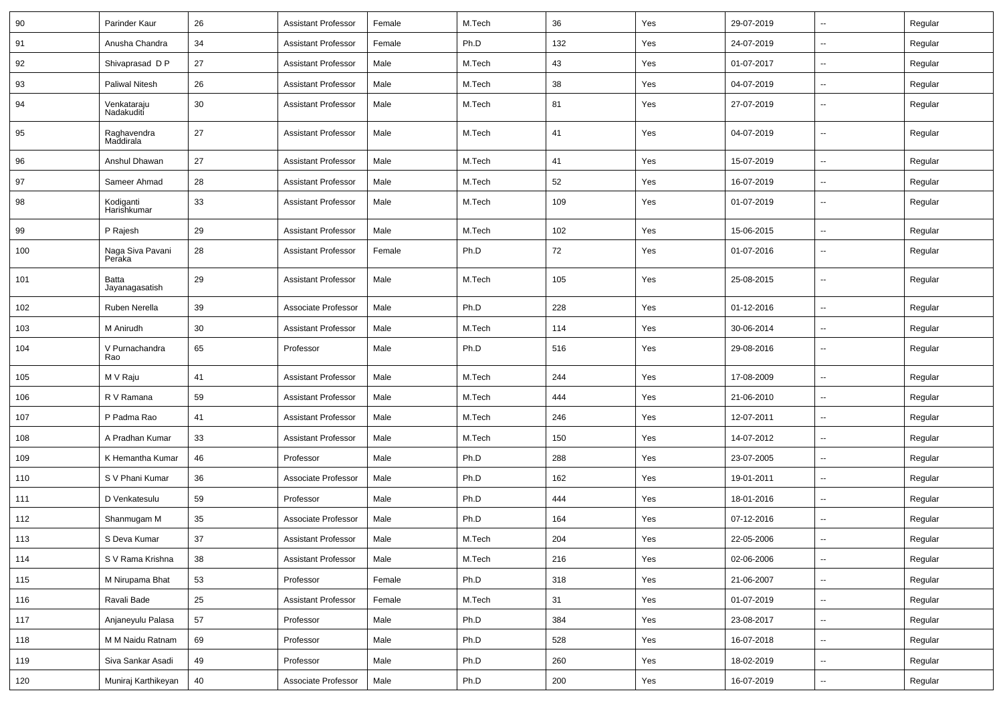| 90  | Parinder Kaur              | 26 | <b>Assistant Professor</b> | Female | M.Tech | 36  | Yes | 29-07-2019 | ⊷.                       | Regular |
|-----|----------------------------|----|----------------------------|--------|--------|-----|-----|------------|--------------------------|---------|
| 91  | Anusha Chandra             | 34 | <b>Assistant Professor</b> | Female | Ph.D   | 132 | Yes | 24-07-2019 | -−                       | Regular |
| 92  | Shivaprasad D P            | 27 | <b>Assistant Professor</b> | Male   | M.Tech | 43  | Yes | 01-07-2017 | -−                       | Regular |
| 93  | <b>Paliwal Nitesh</b>      | 26 | <b>Assistant Professor</b> | Male   | M.Tech | 38  | Yes | 04-07-2019 | $\overline{a}$           | Regular |
| 94  | Venkataraju<br>Nadakuditi  | 30 | <b>Assistant Professor</b> | Male   | M.Tech | 81  | Yes | 27-07-2019 | --                       | Regular |
| 95  | Raghavendra<br>Maddirala   | 27 | <b>Assistant Professor</b> | Male   | M.Tech | 41  | Yes | 04-07-2019 | --                       | Regular |
| 96  | Anshul Dhawan              | 27 | <b>Assistant Professor</b> | Male   | M.Tech | 41  | Yes | 15-07-2019 | --                       | Regular |
| 97  | Sameer Ahmad               | 28 | <b>Assistant Professor</b> | Male   | M.Tech | 52  | Yes | 16-07-2019 | $\overline{\phantom{a}}$ | Regular |
| 98  | Kodiganti<br>Harishkumar   | 33 | <b>Assistant Professor</b> | Male   | M.Tech | 109 | Yes | 01-07-2019 | $\overline{\phantom{a}}$ | Regular |
| 99  | P Rajesh                   | 29 | <b>Assistant Professor</b> | Male   | M.Tech | 102 | Yes | 15-06-2015 | $\sim$                   | Regular |
| 100 | Naga Siva Pavani<br>Peraka | 28 | <b>Assistant Professor</b> | Female | Ph.D   | 72  | Yes | 01-07-2016 | --                       | Regular |
| 101 | Batta<br>Jayanagasatish    | 29 | <b>Assistant Professor</b> | Male   | M.Tech | 105 | Yes | 25-08-2015 | --                       | Regular |
| 102 | Ruben Nerella              | 39 | Associate Professor        | Male   | Ph.D   | 228 | Yes | 01-12-2016 | -−                       | Regular |
| 103 | M Anirudh                  | 30 | <b>Assistant Professor</b> | Male   | M.Tech | 114 | Yes | 30-06-2014 | $\overline{\phantom{a}}$ | Regular |
| 104 | V Purnachandra<br>Rao      | 65 | Professor                  | Male   | Ph.D   | 516 | Yes | 29-08-2016 | --                       | Regular |
| 105 | M V Raju                   | 41 | <b>Assistant Professor</b> | Male   | M.Tech | 244 | Yes | 17-08-2009 | $\overline{a}$           | Regular |
| 106 | R V Ramana                 | 59 | <b>Assistant Professor</b> | Male   | M.Tech | 444 | Yes | 21-06-2010 | --                       | Regular |
| 107 | P Padma Rao                | 41 | <b>Assistant Professor</b> | Male   | M.Tech | 246 | Yes | 12-07-2011 | $\mathbf{u}$             | Regular |
| 108 | A Pradhan Kumar            | 33 | <b>Assistant Professor</b> | Male   | M.Tech | 150 | Yes | 14-07-2012 | н.                       | Regular |
| 109 | K Hemantha Kumar           | 46 | Professor                  | Male   | Ph.D   | 288 | Yes | 23-07-2005 | -−                       | Regular |
| 110 | S V Phani Kumar            | 36 | Associate Professor        | Male   | Ph.D   | 162 | Yes | 19-01-2011 | $\overline{\phantom{a}}$ | Regular |
| 111 | D Venkatesulu              | 59 | Professor                  | Male   | Ph.D   | 444 | Yes | 18-01-2016 | $\overline{a}$           | Regular |
| 112 | Shanmugam M                | 35 | Associate Professor        | Male   | Ph.D   | 164 | Yes | 07-12-2016 | --                       | Regular |
| 113 | S Deva Kumar               | 37 | <b>Assistant Professor</b> | Male   | M.Tech | 204 | Yes | 22-05-2006 | -−                       | Regular |
| 114 | S V Rama Krishna           | 38 | <b>Assistant Professor</b> | Male   | M.Tech | 216 | Yes | 02-06-2006 | $\sim$                   | Regular |
| 115 | M Nirupama Bhat            | 53 | Professor                  | Female | Ph.D   | 318 | Yes | 21-06-2007 | $\sim$                   | Regular |
| 116 | Ravali Bade                | 25 | <b>Assistant Professor</b> | Female | M.Tech | 31  | Yes | 01-07-2019 | $\overline{\phantom{a}}$ | Regular |
| 117 | Anjaneyulu Palasa          | 57 | Professor                  | Male   | Ph.D   | 384 | Yes | 23-08-2017 | $\sim$                   | Regular |
| 118 | M M Naidu Ratnam           | 69 | Professor                  | Male   | Ph.D   | 528 | Yes | 16-07-2018 | $\overline{\phantom{a}}$ | Regular |
| 119 | Siva Sankar Asadi          | 49 | Professor                  | Male   | Ph.D   | 260 | Yes | 18-02-2019 | $\overline{\phantom{a}}$ | Regular |
| 120 | Muniraj Karthikeyan        | 40 | Associate Professor        | Male   | Ph.D   | 200 | Yes | 16-07-2019 | $\overline{\phantom{a}}$ | Regular |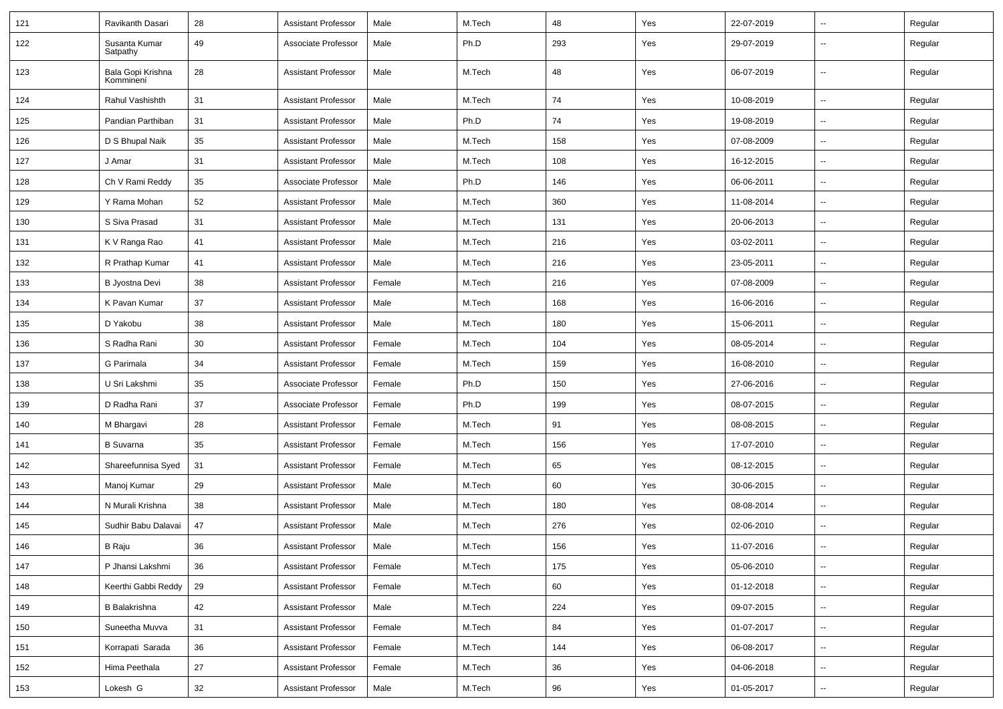| 121 | Ravikanth Dasari               | 28 | <b>Assistant Professor</b> | Male   | M.Tech | 48  | Yes | 22-07-2019 | $\overline{\phantom{a}}$ | Regular |
|-----|--------------------------------|----|----------------------------|--------|--------|-----|-----|------------|--------------------------|---------|
| 122 | Susanta Kumar<br>Satpathy      | 49 | Associate Professor        | Male   | Ph.D   | 293 | Yes | 29-07-2019 | --                       | Regular |
| 123 | Bala Gopi Krishna<br>Kommineni | 28 | <b>Assistant Professor</b> | Male   | M.Tech | 48  | Yes | 06-07-2019 | $\overline{\phantom{a}}$ | Regular |
| 124 | Rahul Vashishth                | 31 | <b>Assistant Professor</b> | Male   | M.Tech | 74  | Yes | 10-08-2019 | -−                       | Regular |
| 125 | Pandian Parthiban              | 31 | <b>Assistant Professor</b> | Male   | Ph.D   | 74  | Yes | 19-08-2019 | $\overline{\phantom{a}}$ | Regular |
| 126 | D S Bhupal Naik                | 35 | <b>Assistant Professor</b> | Male   | M.Tech | 158 | Yes | 07-08-2009 | --                       | Regular |
| 127 | J Amar                         | 31 | <b>Assistant Professor</b> | Male   | M.Tech | 108 | Yes | 16-12-2015 | -−                       | Regular |
| 128 | Ch V Rami Reddy                | 35 | Associate Professor        | Male   | Ph.D   | 146 | Yes | 06-06-2011 | Ξ.                       | Regular |
| 129 | Y Rama Mohan                   | 52 | <b>Assistant Professor</b> | Male   | M.Tech | 360 | Yes | 11-08-2014 | $\sim$                   | Regular |
| 130 | S Siva Prasad                  | 31 | <b>Assistant Professor</b> | Male   | M.Tech | 131 | Yes | 20-06-2013 | -−                       | Regular |
| 131 | K V Ranga Rao                  | 41 | <b>Assistant Professor</b> | Male   | M.Tech | 216 | Yes | 03-02-2011 | $\sim$                   | Regular |
| 132 | R Prathap Kumar                | 41 | <b>Assistant Professor</b> | Male   | M.Tech | 216 | Yes | 23-05-2011 | $\overline{\phantom{a}}$ | Regular |
| 133 | B Jyostna Devi                 | 38 | <b>Assistant Professor</b> | Female | M.Tech | 216 | Yes | 07-08-2009 | -−                       | Regular |
| 134 | K Pavan Kumar                  | 37 | <b>Assistant Professor</b> | Male   | M.Tech | 168 | Yes | 16-06-2016 | Ξ.                       | Regular |
| 135 | D Yakobu                       | 38 | <b>Assistant Professor</b> | Male   | M.Tech | 180 | Yes | 15-06-2011 | Ξ.                       | Regular |
| 136 | S Radha Rani                   | 30 | <b>Assistant Professor</b> | Female | M.Tech | 104 | Yes | 08-05-2014 | --                       | Regular |
| 137 | G Parimala                     | 34 | <b>Assistant Professor</b> | Female | M.Tech | 159 | Yes | 16-08-2010 | -−                       | Regular |
| 138 | U Sri Lakshmi                  | 35 | Associate Professor        | Female | Ph.D   | 150 | Yes | 27-06-2016 | $\overline{\phantom{a}}$ | Regular |
| 139 | D Radha Rani                   | 37 | Associate Professor        | Female | Ph.D   | 199 | Yes | 08-07-2015 | -−                       | Regular |
| 140 | M Bhargavi                     | 28 | <b>Assistant Professor</b> | Female | M.Tech | 91  | Yes | 08-08-2015 | Ξ.                       | Regular |
| 141 | <b>B</b> Suvarna               | 35 | <b>Assistant Professor</b> | Female | M.Tech | 156 | Yes | 17-07-2010 | $\sim$                   | Regular |
| 142 | Shareefunnisa Syed             | 31 | <b>Assistant Professor</b> | Female | M.Tech | 65  | Yes | 08-12-2015 | --                       | Regular |
| 143 | Manoj Kumar                    | 29 | <b>Assistant Professor</b> | Male   | M.Tech | 60  | Yes | 30-06-2015 | Ξ.                       | Regular |
| 144 | N Murali Krishna               | 38 | <b>Assistant Professor</b> | Male   | M.Tech | 180 | Yes | 08-08-2014 | $\overline{\phantom{a}}$ | Regular |
| 145 | Sudhir Babu Dalavai            | 47 | <b>Assistant Professor</b> | Male   | M.Tech | 276 | Yes | 02-06-2010 | -−                       | Regular |
| 146 | B Raju                         | 36 | Assistant Professor        | Male   | M.Tech | 156 | Yes | 11-07-2016 |                          | Regular |
| 147 | P Jhansi Lakshmi               | 36 | <b>Assistant Professor</b> | Female | M.Tech | 175 | Yes | 05-06-2010 | $\sim$                   | Regular |
| 148 | Keerthi Gabbi Reddy            | 29 | Assistant Professor        | Female | M.Tech | 60  | Yes | 01-12-2018 | $\overline{\phantom{a}}$ | Regular |
| 149 | <b>B</b> Balakrishna           | 42 | <b>Assistant Professor</b> | Male   | M.Tech | 224 | Yes | 09-07-2015 | $\overline{\phantom{a}}$ | Regular |
| 150 | Suneetha Muvva                 | 31 | <b>Assistant Professor</b> | Female | M.Tech | 84  | Yes | 01-07-2017 | $\sim$                   | Regular |
| 151 | Korrapati Sarada               | 36 | <b>Assistant Professor</b> | Female | M.Tech | 144 | Yes | 06-08-2017 | $\sim$                   | Regular |
| 152 | Hima Peethala                  | 27 | Assistant Professor        | Female | M.Tech | 36  | Yes | 04-06-2018 | $\overline{\phantom{a}}$ | Regular |
| 153 | Lokesh G                       | 32 | <b>Assistant Professor</b> | Male   | M.Tech | 96  | Yes | 01-05-2017 | $\sim$                   | Regular |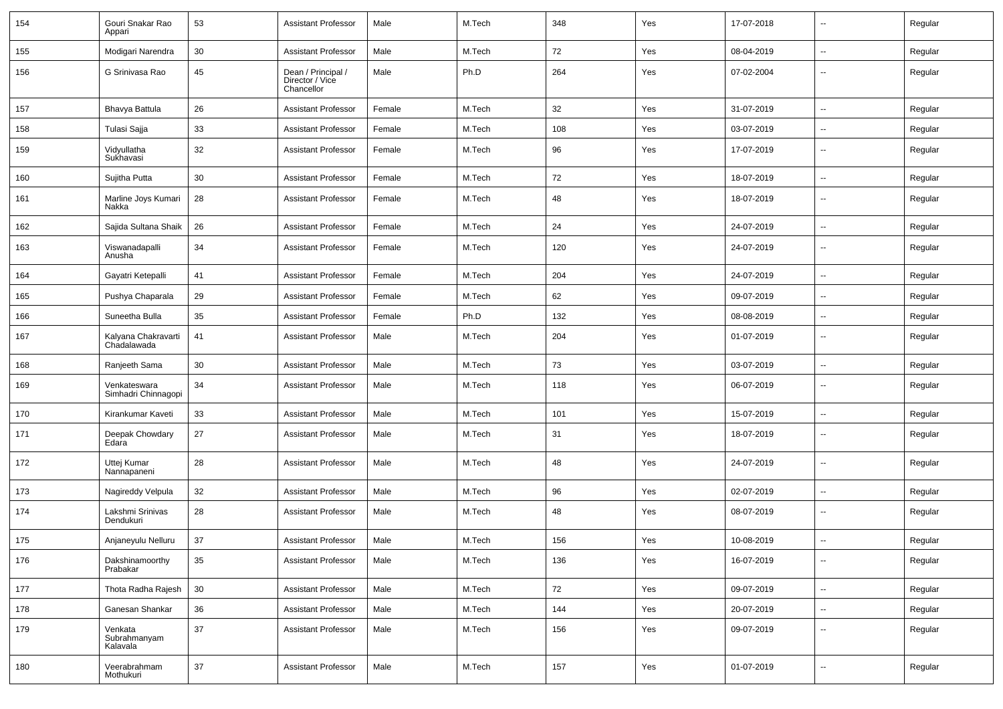| 154 | Gouri Snakar Rao<br>Appari          | 53     | Assistant Professor                                 | Male   | M.Tech | 348 | Yes | 17-07-2018 | $\overline{\phantom{a}}$ | Regular |
|-----|-------------------------------------|--------|-----------------------------------------------------|--------|--------|-----|-----|------------|--------------------------|---------|
| 155 | Modigari Narendra                   | 30     | Assistant Professor                                 | Male   | M.Tech | 72  | Yes | 08-04-2019 | $\sim$                   | Regular |
| 156 | G Srinivasa Rao                     | 45     | Dean / Principal /<br>Director / Vice<br>Chancellor | Male   | Ph.D   | 264 | Yes | 07-02-2004 | --                       | Regular |
| 157 | Bhavya Battula                      | 26     | <b>Assistant Professor</b>                          | Female | M.Tech | 32  | Yes | 31-07-2019 | $\sim$                   | Regular |
| 158 | Tulasi Sajja                        | 33     | <b>Assistant Professor</b>                          | Female | M.Tech | 108 | Yes | 03-07-2019 | --                       | Regular |
| 159 | Vidyullatha<br>Sukhavasi            | 32     | <b>Assistant Professor</b>                          | Female | M.Tech | 96  | Yes | 17-07-2019 | $\overline{\phantom{a}}$ | Regular |
| 160 | Sujitha Putta                       | 30     | <b>Assistant Professor</b>                          | Female | M.Tech | 72  | Yes | 18-07-2019 | $\overline{\phantom{a}}$ | Regular |
| 161 | Marline Joys Kumari<br>Nakka        | 28     | <b>Assistant Professor</b>                          | Female | M.Tech | 48  | Yes | 18-07-2019 | $\overline{\phantom{a}}$ | Regular |
| 162 | Sajida Sultana Shaik                | 26     | Assistant Professor                                 | Female | M.Tech | 24  | Yes | 24-07-2019 | $\overline{\phantom{a}}$ | Regular |
| 163 | Viswanadapalli<br>Anusha            | 34     | <b>Assistant Professor</b>                          | Female | M.Tech | 120 | Yes | 24-07-2019 | --                       | Regular |
| 164 | Gayatri Ketepalli                   | 41     | <b>Assistant Professor</b>                          | Female | M.Tech | 204 | Yes | 24-07-2019 | $\overline{a}$           | Regular |
| 165 | Pushya Chaparala                    | 29     | <b>Assistant Professor</b>                          | Female | M.Tech | 62  | Yes | 09-07-2019 | $\mathbf{u}$             | Regular |
| 166 | Suneetha Bulla                      | 35     | Assistant Professor                                 | Female | Ph.D   | 132 | Yes | 08-08-2019 | $\sim$                   | Regular |
| 167 | Kalyana Chakravarti<br>Chadalawada  | 41     | Assistant Professor                                 | Male   | M.Tech | 204 | Yes | 01-07-2019 | $\overline{\phantom{a}}$ | Regular |
| 168 | Ranjeeth Sama                       | 30     | <b>Assistant Professor</b>                          | Male   | M.Tech | 73  | Yes | 03-07-2019 | $\overline{\phantom{a}}$ | Regular |
| 169 | Venkateswara<br>Simhadri Chinnagopi | 34     | <b>Assistant Professor</b>                          | Male   | M.Tech | 118 | Yes | 06-07-2019 | $\overline{\phantom{a}}$ | Regular |
| 170 | Kirankumar Kaveti                   | 33     | <b>Assistant Professor</b>                          | Male   | M.Tech | 101 | Yes | 15-07-2019 | $\mathbf{u}$             | Regular |
| 171 | Deepak Chowdary<br>Edara            | 27     | <b>Assistant Professor</b>                          | Male   | M.Tech | 31  | Yes | 18-07-2019 | $\overline{\phantom{a}}$ | Regular |
| 172 | Uttej Kumar<br>Nannapaneni          | 28     | <b>Assistant Professor</b>                          | Male   | M.Tech | 48  | Yes | 24-07-2019 | $\overline{\phantom{a}}$ | Regular |
| 173 | Nagireddy Velpula                   | 32     | <b>Assistant Professor</b>                          | Male   | M.Tech | 96  | Yes | 02-07-2019 | $\overline{\phantom{a}}$ | Regular |
| 174 | Lakshmi Srinivas<br>Dendukuri       | 28     | <b>Assistant Professor</b>                          | Male   | M.Tech | 48  | Yes | 08-07-2019 | --                       | Regular |
| 175 | Anjaneyulu Nelluru                  | 37     | <b>Assistant Professor</b>                          | Male   | M.Tech | 156 | Yes | 10-08-2019 |                          | Regular |
| 176 | Dakshinamoorthy<br>Prabakar         | 35     | Assistant Professor                                 | Male   | M.Tech | 136 | Yes | 16-07-2019 | $\sim$                   | Regular |
| 177 | Thota Radha Rajesh                  | $30\,$ | <b>Assistant Professor</b>                          | Male   | M.Tech | 72  | Yes | 09-07-2019 | $\sim$                   | Regular |
| 178 | Ganesan Shankar                     | 36     | <b>Assistant Professor</b>                          | Male   | M.Tech | 144 | Yes | 20-07-2019 | $\sim$                   | Regular |
| 179 | Venkata<br>Subrahmanyam<br>Kalavala | 37     | <b>Assistant Professor</b>                          | Male   | M.Tech | 156 | Yes | 09-07-2019 | $\overline{\phantom{a}}$ | Regular |
| 180 | Veerabrahmam<br>Mothukuri           | 37     | <b>Assistant Professor</b>                          | Male   | M.Tech | 157 | Yes | 01-07-2019 | $\sim$                   | Regular |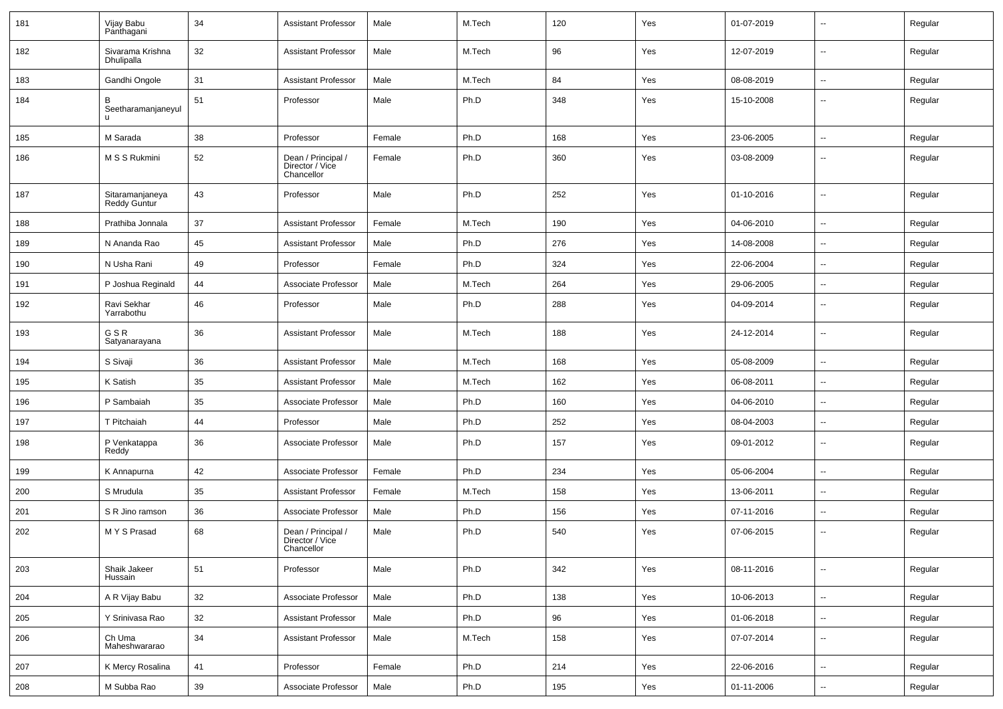| 181 | Vijay Babu<br>Panthagani        | 34     | Assistant Professor                                 | Male   | M.Tech | 120 | Yes | 01-07-2019 | $\overline{\phantom{a}}$ | Regular |
|-----|---------------------------------|--------|-----------------------------------------------------|--------|--------|-----|-----|------------|--------------------------|---------|
| 182 | Sivarama Krishna<br>Dhulipalla  | 32     | <b>Assistant Professor</b>                          | Male   | M.Tech | 96  | Yes | 12-07-2019 | $\sim$                   | Regular |
| 183 | Gandhi Ongole                   | 31     | Assistant Professor                                 | Male   | M.Tech | 84  | Yes | 08-08-2019 | $\sim$                   | Regular |
| 184 | В<br>Seetharamanjaneyul         | 51     | Professor                                           | Male   | Ph.D   | 348 | Yes | 15-10-2008 | --                       | Regular |
| 185 | M Sarada                        | 38     | Professor                                           | Female | Ph.D   | 168 | Yes | 23-06-2005 | $\sim$                   | Regular |
| 186 | M S S Rukmini                   | 52     | Dean / Principal /<br>Director / Vice<br>Chancellor | Female | Ph.D   | 360 | Yes | 03-08-2009 | --                       | Regular |
| 187 | Sitaramanjaneya<br>Reddy Guntur | 43     | Professor                                           | Male   | Ph.D   | 252 | Yes | 01-10-2016 | $\sim$                   | Regular |
| 188 | Prathiba Jonnala                | 37     | Assistant Professor                                 | Female | M.Tech | 190 | Yes | 04-06-2010 | $\sim$                   | Regular |
| 189 | N Ananda Rao                    | 45     | <b>Assistant Professor</b>                          | Male   | Ph.D   | 276 | Yes | 14-08-2008 | $\overline{\phantom{a}}$ | Regular |
| 190 | N Usha Rani                     | 49     | Professor                                           | Female | Ph.D   | 324 | Yes | 22-06-2004 | $\overline{\phantom{a}}$ | Regular |
| 191 | P Joshua Reginald               | 44     | Associate Professor                                 | Male   | M.Tech | 264 | Yes | 29-06-2005 | $\overline{\phantom{a}}$ | Regular |
| 192 | Ravi Sekhar<br>Yarrabothu       | 46     | Professor                                           | Male   | Ph.D   | 288 | Yes | 04-09-2014 | --                       | Regular |
| 193 | GSR<br>Satyanarayana            | 36     | <b>Assistant Professor</b>                          | Male   | M.Tech | 188 | Yes | 24-12-2014 | --                       | Regular |
| 194 | S Sivaji                        | 36     | <b>Assistant Professor</b>                          | Male   | M.Tech | 168 | Yes | 05-08-2009 | --                       | Regular |
| 195 | K Satish                        | 35     | <b>Assistant Professor</b>                          | Male   | M.Tech | 162 | Yes | 06-08-2011 |                          | Regular |
| 196 | P Sambaiah                      | 35     | Associate Professor                                 | Male   | Ph.D   | 160 | Yes | 04-06-2010 | $\sim$                   | Regular |
| 197 | T Pitchaiah                     | 44     | Professor                                           | Male   | Ph.D   | 252 | Yes | 08-04-2003 | $\mathbf{u}$             | Regular |
| 198 | P Venkatappa<br>Reddy           | 36     | Associate Professor                                 | Male   | Ph.D   | 157 | Yes | 09-01-2012 | $\overline{\phantom{a}}$ | Regular |
| 199 | K Annapurna                     | 42     | Associate Professor                                 | Female | Ph.D   | 234 | Yes | 05-06-2004 | $\overline{a}$           | Regular |
| 200 | S Mrudula                       | 35     | Assistant Professor                                 | Female | M.Tech | 158 | Yes | 13-06-2011 | $\overline{\phantom{a}}$ | Regular |
| 201 | S R Jino ramson                 | 36     | Associate Professor                                 | Male   | Ph.D   | 156 | Yes | 07-11-2016 | --                       | Regular |
| 202 | M Y S Prasad                    | 68     | Dean / Principal /<br>Director / Vice<br>Chancellor | Male   | Ph.D   | 540 | Yes | 07-06-2015 | $\overline{\phantom{a}}$ | Regular |
| 203 | Shaik Jakeer<br>Hussain         | 51     | Professor                                           | Male   | Ph.D   | 342 | Yes | 08-11-2016 | $\sim$                   | Regular |
| 204 | A R Vijay Babu                  | 32     | Associate Professor                                 | Male   | Ph.D   | 138 | Yes | 10-06-2013 | $\overline{\phantom{a}}$ | Regular |
| 205 | Y Srinivasa Rao                 | 32     | <b>Assistant Professor</b>                          | Male   | Ph.D   | 96  | Yes | 01-06-2018 | $\overline{\phantom{a}}$ | Regular |
| 206 | Ch Uma<br>Maheshwararao         | 34     | <b>Assistant Professor</b>                          | Male   | M.Tech | 158 | Yes | 07-07-2014 | $\sim$                   | Regular |
| 207 | K Mercy Rosalina                | 41     | Professor                                           | Female | Ph.D   | 214 | Yes | 22-06-2016 | $\sim$                   | Regular |
| 208 | M Subba Rao                     | $39\,$ | Associate Professor                                 | Male   | Ph.D   | 195 | Yes | 01-11-2006 | $\overline{\phantom{a}}$ | Regular |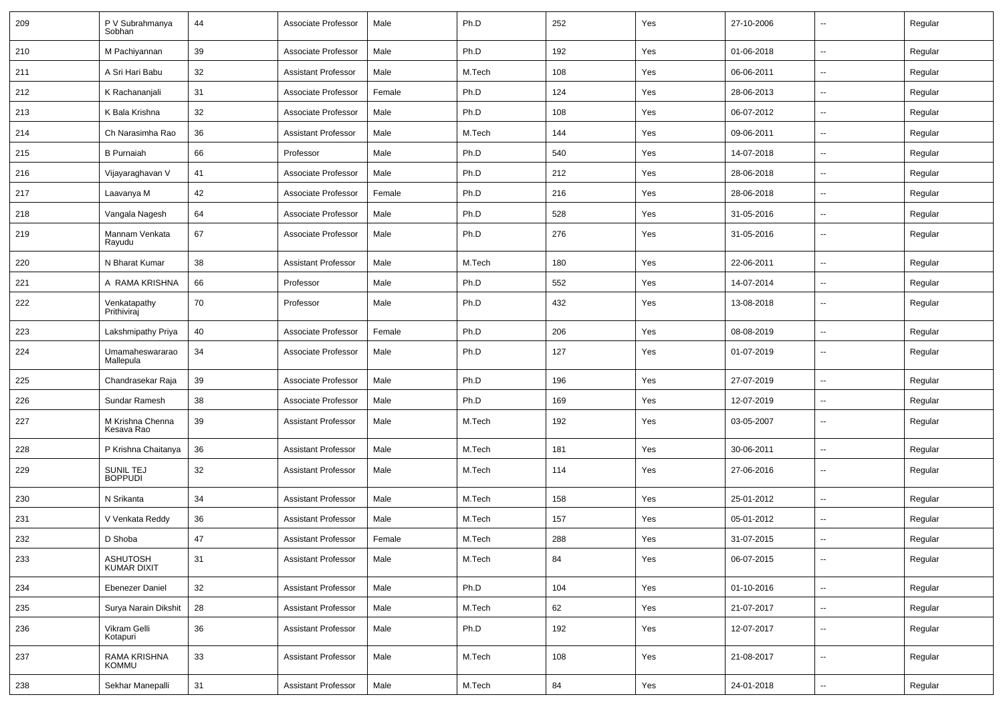| 209 | P V Subrahmanya<br>Sobhan             | 44 | Associate Professor        | Male   | Ph.D   | 252 | Yes | 27-10-2006 | --                       | Regular |
|-----|---------------------------------------|----|----------------------------|--------|--------|-----|-----|------------|--------------------------|---------|
| 210 | M Pachiyannan                         | 39 | Associate Professor        | Male   | Ph.D   | 192 | Yes | 01-06-2018 | $\sim$                   | Regular |
| 211 | A Sri Hari Babu                       | 32 | <b>Assistant Professor</b> | Male   | M.Tech | 108 | Yes | 06-06-2011 | --                       | Regular |
| 212 | K Rachananjali                        | 31 | Associate Professor        | Female | Ph.D   | 124 | Yes | 28-06-2013 | $\sim$                   | Regular |
| 213 | K Bala Krishna                        | 32 | Associate Professor        | Male   | Ph.D   | 108 | Yes | 06-07-2012 | --                       | Regular |
| 214 | Ch Narasimha Rao                      | 36 | <b>Assistant Professor</b> | Male   | M.Tech | 144 | Yes | 09-06-2011 | --                       | Regular |
| 215 | <b>B</b> Purnaiah                     | 66 | Professor                  | Male   | Ph.D   | 540 | Yes | 14-07-2018 | $\sim$                   | Regular |
| 216 | Vijayaraghavan V                      | 41 | Associate Professor        | Male   | Ph.D   | 212 | Yes | 28-06-2018 | $\overline{\phantom{a}}$ | Regular |
| 217 | Laavanya M                            | 42 | Associate Professor        | Female | Ph.D   | 216 | Yes | 28-06-2018 | --                       | Regular |
| 218 | Vangala Nagesh                        | 64 | Associate Professor        | Male   | Ph.D   | 528 | Yes | 31-05-2016 | --                       | Regular |
| 219 | Mannam Venkata<br>Rayudu              | 67 | Associate Professor        | Male   | Ph.D   | 276 | Yes | 31-05-2016 | --                       | Regular |
| 220 | N Bharat Kumar                        | 38 | <b>Assistant Professor</b> | Male   | M.Tech | 180 | Yes | 22-06-2011 | $\overline{\phantom{a}}$ | Regular |
| 221 | A RAMA KRISHNA                        | 66 | Professor                  | Male   | Ph.D   | 552 | Yes | 14-07-2014 | --                       | Regular |
| 222 | Venkatapathy<br>Prithiviraj           | 70 | Professor                  | Male   | Ph.D   | 432 | Yes | 13-08-2018 | $\overline{a}$           | Regular |
| 223 | Lakshmipathy Priya                    | 40 | Associate Professor        | Female | Ph.D   | 206 | Yes | 08-08-2019 | $\ddot{\phantom{a}}$     | Regular |
| 224 | Umamaheswararao<br>Mallepula          | 34 | Associate Professor        | Male   | Ph.D   | 127 | Yes | 01-07-2019 | $\overline{\phantom{a}}$ | Regular |
| 225 | Chandrasekar Raja                     | 39 | Associate Professor        | Male   | Ph.D   | 196 | Yes | 27-07-2019 | $\overline{\phantom{a}}$ | Regular |
| 226 | Sundar Ramesh                         | 38 | Associate Professor        | Male   | Ph.D   | 169 | Yes | 12-07-2019 | --                       | Regular |
| 227 | M Krishna Chenna<br>Kesava Rao        | 39 | <b>Assistant Professor</b> | Male   | M.Tech | 192 | Yes | 03-05-2007 | $\overline{a}$           | Regular |
| 228 | P Krishna Chaitanya                   | 36 | <b>Assistant Professor</b> | Male   | M.Tech | 181 | Yes | 30-06-2011 | Ξ.                       | Regular |
| 229 | <b>SUNIL TEJ</b><br><b>BOPPUDI</b>    | 32 | <b>Assistant Professor</b> | Male   | M.Tech | 114 | Yes | 27-06-2016 | --                       | Regular |
| 230 | N Srikanta                            | 34 | <b>Assistant Professor</b> | Male   | M.Tech | 158 | Yes | 25-01-2012 | --                       | Regular |
| 231 | V Venkata Reddy                       | 36 | <b>Assistant Professor</b> | Male   | M.Tech | 157 | Yes | 05-01-2012 | --                       | Regular |
| 232 | D Shoba                               | 47 | <b>Assistant Professor</b> | Female | M.Tech | 288 | Yes | 31-07-2015 | --                       | Regular |
| 233 | <b>ASHUTOSH</b><br><b>KUMAR DIXIT</b> | 31 | <b>Assistant Professor</b> | Male   | M.Tech | 84  | Yes | 06-07-2015 | $\overline{\phantom{a}}$ | Regular |
| 234 | <b>Ebenezer Daniel</b>                | 32 | <b>Assistant Professor</b> | Male   | Ph.D   | 104 | Yes | 01-10-2016 | $\sim$                   | Regular |
| 235 | Surya Narain Dikshit                  | 28 | <b>Assistant Professor</b> | Male   | M.Tech | 62  | Yes | 21-07-2017 | $\sim$                   | Regular |
| 236 | Vikram Gelli<br>Kotapuri              | 36 | <b>Assistant Professor</b> | Male   | Ph.D   | 192 | Yes | 12-07-2017 | u.                       | Regular |
| 237 | RAMA KRISHNA<br>KOMMU                 | 33 | <b>Assistant Professor</b> | Male   | M.Tech | 108 | Yes | 21-08-2017 | $\overline{\phantom{a}}$ | Regular |
| 238 | Sekhar Manepalli                      | 31 | <b>Assistant Professor</b> | Male   | M.Tech | 84  | Yes | 24-01-2018 | $\overline{\phantom{a}}$ | Regular |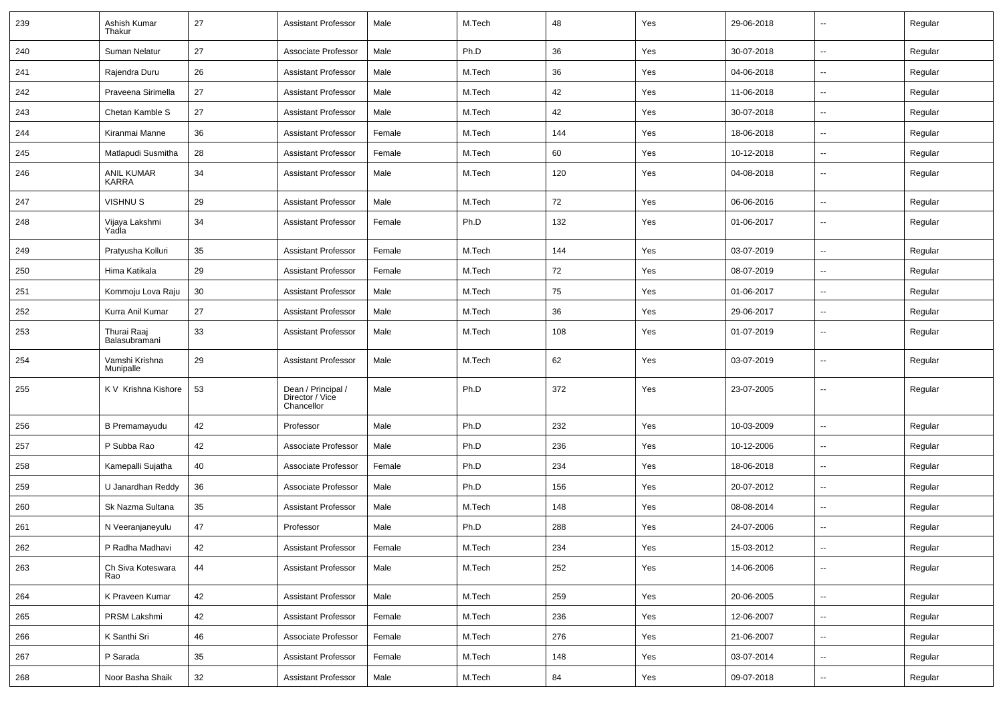| 239 | Ashish Kumar<br>Thakur       | 27 | <b>Assistant Professor</b>                          | Male   | M.Tech | 48  | Yes | 29-06-2018 | $\sim$                   | Regular |
|-----|------------------------------|----|-----------------------------------------------------|--------|--------|-----|-----|------------|--------------------------|---------|
| 240 | Suman Nelatur                | 27 | Associate Professor                                 | Male   | Ph.D   | 36  | Yes | 30-07-2018 | $\sim$                   | Regular |
| 241 | Rajendra Duru                | 26 | <b>Assistant Professor</b>                          | Male   | M.Tech | 36  | Yes | 04-06-2018 | ⊶.                       | Regular |
| 242 | Praveena Sirimella           | 27 | <b>Assistant Professor</b>                          | Male   | M.Tech | 42  | Yes | 11-06-2018 | $\sim$                   | Regular |
| 243 | Chetan Kamble S              | 27 | <b>Assistant Professor</b>                          | Male   | M.Tech | 42  | Yes | 30-07-2018 | $\sim$                   | Regular |
| 244 | Kiranmai Manne               | 36 | <b>Assistant Professor</b>                          | Female | M.Tech | 144 | Yes | 18-06-2018 | $\sim$                   | Regular |
| 245 | Matlapudi Susmitha           | 28 | <b>Assistant Professor</b>                          | Female | M.Tech | 60  | Yes | 10-12-2018 | ÷.                       | Regular |
| 246 | <b>ANIL KUMAR</b><br>KARRA   | 34 | <b>Assistant Professor</b>                          | Male   | M.Tech | 120 | Yes | 04-08-2018 | $\sim$                   | Regular |
| 247 | <b>VISHNUS</b>               | 29 | <b>Assistant Professor</b>                          | Male   | M.Tech | 72  | Yes | 06-06-2016 | $\sim$                   | Regular |
| 248 | Vijaya Lakshmi<br>Yadla      | 34 | <b>Assistant Professor</b>                          | Female | Ph.D   | 132 | Yes | 01-06-2017 | $\overline{\phantom{a}}$ | Regular |
| 249 | Pratyusha Kolluri            | 35 | <b>Assistant Professor</b>                          | Female | M.Tech | 144 | Yes | 03-07-2019 | ⊶.                       | Regular |
| 250 | Hima Katikala                | 29 | <b>Assistant Professor</b>                          | Female | M.Tech | 72  | Yes | 08-07-2019 | $\sim$                   | Regular |
| 251 | Kommoju Lova Raju            | 30 | <b>Assistant Professor</b>                          | Male   | M.Tech | 75  | Yes | 01-06-2017 | $\sim$                   | Regular |
| 252 | Kurra Anil Kumar             | 27 | <b>Assistant Professor</b>                          | Male   | M.Tech | 36  | Yes | 29-06-2017 | $\overline{\phantom{a}}$ | Regular |
| 253 | Thurai Raaj<br>Balasubramani | 33 | <b>Assistant Professor</b>                          | Male   | M.Tech | 108 | Yes | 01-07-2019 | $\overline{\phantom{a}}$ | Regular |
| 254 | Vamshi Krishna<br>Munipalle  | 29 | <b>Assistant Professor</b>                          | Male   | M.Tech | 62  | Yes | 03-07-2019 | $\sim$                   | Regular |
| 255 | K V Krishna Kishore          | 53 | Dean / Principal /<br>Director / Vice<br>Chancellor | Male   | Ph.D   | 372 | Yes | 23-07-2005 | $\sim$                   | Regular |
| 256 | <b>B</b> Premamayudu         | 42 | Professor                                           | Male   | Ph.D   | 232 | Yes | 10-03-2009 | $\overline{\phantom{a}}$ | Regular |
| 257 | P Subba Rao                  | 42 | Associate Professor                                 | Male   | Ph.D   | 236 | Yes | 10-12-2006 | $\overline{\phantom{a}}$ | Regular |
| 258 | Kamepalli Sujatha            | 40 | Associate Professor                                 | Female | Ph.D   | 234 | Yes | 18-06-2018 | $\sim$                   | Regular |
| 259 | U Janardhan Reddy            | 36 | Associate Professor                                 | Male   | Ph.D   | 156 | Yes | 20-07-2012 | $\sim$                   | Regular |
| 260 | Sk Nazma Sultana             | 35 | <b>Assistant Professor</b>                          | Male   | M.Tech | 148 | Yes | 08-08-2014 | $\sim$                   | Regular |
| 261 | N Veeranjaneyulu             | 47 | Professor                                           | Male   | Ph.D   | 288 | Yes | 24-07-2006 | --                       | Regular |
| 262 | P Radha Madhavi              | 42 | Assistant Professor                                 | Female | M.Tech | 234 | Yes | 15-03-2012 |                          | Regular |
| 263 | Ch Siva Koteswara<br>Rao     | 44 | <b>Assistant Professor</b>                          | Male   | M.Tech | 252 | Yes | 14-06-2006 | $\sim$                   | Regular |
| 264 | K Praveen Kumar              | 42 | <b>Assistant Professor</b>                          | Male   | M.Tech | 259 | Yes | 20-06-2005 | $\sim$                   | Regular |
| 265 | PRSM Lakshmi                 | 42 | <b>Assistant Professor</b>                          | Female | M.Tech | 236 | Yes | 12-06-2007 | $\sim$                   | Regular |
| 266 | K Santhi Sri                 | 46 | Associate Professor                                 | Female | M.Tech | 276 | Yes | 21-06-2007 | $\sim$                   | Regular |
| 267 | P Sarada                     | 35 | <b>Assistant Professor</b>                          | Female | M.Tech | 148 | Yes | 03-07-2014 | $\sim$                   | Regular |
| 268 | Noor Basha Shaik             | 32 | <b>Assistant Professor</b>                          | Male   | M.Tech | 84  | Yes | 09-07-2018 | $\overline{\phantom{a}}$ | Regular |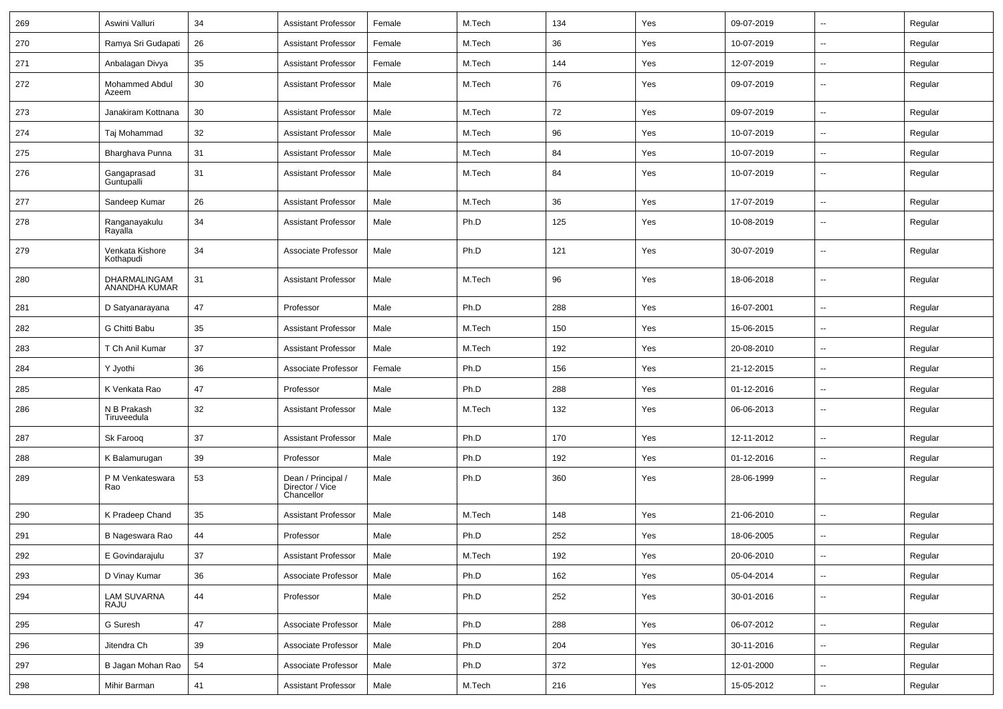| 269 | Aswini Valluri                | 34 | <b>Assistant Professor</b>                          | Female | M.Tech | 134 | Yes | 09-07-2019 | $\overline{\phantom{a}}$ | Regular |
|-----|-------------------------------|----|-----------------------------------------------------|--------|--------|-----|-----|------------|--------------------------|---------|
| 270 | Ramya Sri Gudapati            | 26 | <b>Assistant Professor</b>                          | Female | M.Tech | 36  | Yes | 10-07-2019 | --                       | Regular |
| 271 | Anbalagan Divya               | 35 | <b>Assistant Professor</b>                          | Female | M.Tech | 144 | Yes | 12-07-2019 | $\overline{\phantom{a}}$ | Regular |
| 272 | Mohammed Abdul<br>Azeem       | 30 | <b>Assistant Professor</b>                          | Male   | M.Tech | 76  | Yes | 09-07-2019 | $\overline{\phantom{a}}$ | Regular |
| 273 | Janakiram Kottnana            | 30 | <b>Assistant Professor</b>                          | Male   | M.Tech | 72  | Yes | 09-07-2019 | $\overline{\phantom{a}}$ | Regular |
| 274 | Taj Mohammad                  | 32 | <b>Assistant Professor</b>                          | Male   | M.Tech | 96  | Yes | 10-07-2019 | $\overline{\phantom{a}}$ | Regular |
| 275 | Bharghava Punna               | 31 | <b>Assistant Professor</b>                          | Male   | M.Tech | 84  | Yes | 10-07-2019 | $\sim$                   | Regular |
| 276 | Gangaprasad<br>Guntupalli     | 31 | <b>Assistant Professor</b>                          | Male   | M.Tech | 84  | Yes | 10-07-2019 | ⊷.                       | Regular |
| 277 | Sandeep Kumar                 | 26 | <b>Assistant Professor</b>                          | Male   | M.Tech | 36  | Yes | 17-07-2019 | Щ,                       | Regular |
| 278 | Ranganayakulu<br>Rayalla      | 34 | <b>Assistant Professor</b>                          | Male   | Ph.D   | 125 | Yes | 10-08-2019 | --                       | Regular |
| 279 | Venkata Kishore<br>Kothapudi  | 34 | Associate Professor                                 | Male   | Ph.D   | 121 | Yes | 30-07-2019 | --                       | Regular |
| 280 | DHARMALINGAM<br>ANANDHA KUMAR | 31 | <b>Assistant Professor</b>                          | Male   | M.Tech | 96  | Yes | 18-06-2018 | --                       | Regular |
| 281 | D Satyanarayana               | 47 | Professor                                           | Male   | Ph.D   | 288 | Yes | 16-07-2001 | $\overline{\phantom{a}}$ | Regular |
| 282 | G Chitti Babu                 | 35 | <b>Assistant Professor</b>                          | Male   | M.Tech | 150 | Yes | 15-06-2015 | --                       | Regular |
| 283 | T Ch Anil Kumar               | 37 | <b>Assistant Professor</b>                          | Male   | M.Tech | 192 | Yes | 20-08-2010 | $\overline{\phantom{a}}$ | Regular |
| 284 | Y Jyothi                      | 36 | Associate Professor                                 | Female | Ph.D   | 156 | Yes | 21-12-2015 |                          | Regular |
| 285 | K Venkata Rao                 | 47 | Professor                                           | Male   | Ph.D   | 288 | Yes | 01-12-2016 | ۵.                       | Regular |
| 286 | N B Prakash<br>Tiruveedula    | 32 | <b>Assistant Professor</b>                          | Male   | M.Tech | 132 | Yes | 06-06-2013 | н.                       | Regular |
| 287 | Sk Faroog                     | 37 | <b>Assistant Professor</b>                          | Male   | Ph.D   | 170 | Yes | 12-11-2012 | н.                       | Regular |
| 288 | K Balamurugan                 | 39 | Professor                                           | Male   | Ph.D   | 192 | Yes | 01-12-2016 | --                       | Regular |
| 289 | P M Venkateswara<br>Rao       | 53 | Dean / Principal /<br>Director / Vice<br>Chancellor | Male   | Ph.D   | 360 | Yes | 28-06-1999 | $\overline{a}$           | Regular |
| 290 | K Pradeep Chand               | 35 | <b>Assistant Professor</b>                          | Male   | M.Tech | 148 | Yes | 21-06-2010 | --                       | Regular |
| 291 | B Nageswara Rao               | 44 | Professor                                           | Male   | Ph.D   | 252 | Yes | 18-06-2005 |                          | Regular |
| 292 | E Govindarajulu               | 37 | <b>Assistant Professor</b>                          | Male   | M.Tech | 192 | Yes | 20-06-2010 | Ξ.                       | Regular |
| 293 | D Vinay Kumar                 | 36 | Associate Professor                                 | Male   | Ph.D   | 162 | Yes | 05-04-2014 |                          | Regular |
| 294 | <b>LAM SUVARNA</b><br>RAJU    | 44 | Professor                                           | Male   | Ph.D   | 252 | Yes | 30-01-2016 | $\overline{\phantom{a}}$ | Regular |
| 295 | G Suresh                      | 47 | Associate Professor                                 | Male   | Ph.D   | 288 | Yes | 06-07-2012 | $\sim$                   | Regular |
| 296 | Jitendra Ch                   | 39 | Associate Professor                                 | Male   | Ph.D   | 204 | Yes | 30-11-2016 | $\sim$                   | Regular |
| 297 | B Jagan Mohan Rao             | 54 | Associate Professor                                 | Male   | Ph.D   | 372 | Yes | 12-01-2000 | --                       | Regular |
| 298 | Mihir Barman                  | 41 | Assistant Professor                                 | Male   | M.Tech | 216 | Yes | 15-05-2012 | --                       | Regular |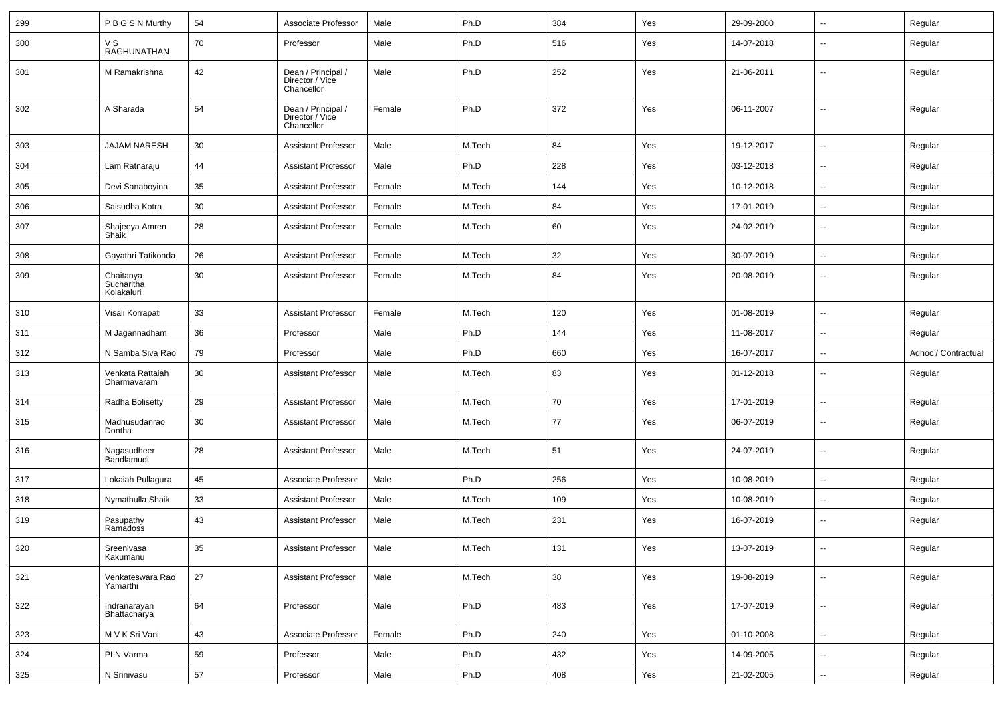| 299 | P B G S N Murthy                      | 54     | Associate Professor                                 | Male   | Ph.D   | 384 | Yes | 29-09-2000 | --                       | Regular             |
|-----|---------------------------------------|--------|-----------------------------------------------------|--------|--------|-----|-----|------------|--------------------------|---------------------|
| 300 | V S<br>RAGHUNATHAN                    | 70     | Professor                                           | Male   | Ph.D   | 516 | Yes | 14-07-2018 | --                       | Regular             |
| 301 | M Ramakrishna                         | 42     | Dean / Principal /<br>Director / Vice<br>Chancellor | Male   | Ph.D   | 252 | Yes | 21-06-2011 | $\overline{\phantom{a}}$ | Regular             |
| 302 | A Sharada                             | 54     | Dean / Principal /<br>Director / Vice<br>Chancellor | Female | Ph.D   | 372 | Yes | 06-11-2007 | --                       | Regular             |
| 303 | <b>JAJAM NARESH</b>                   | 30     | <b>Assistant Professor</b>                          | Male   | M.Tech | 84  | Yes | 19-12-2017 | $\sim$                   | Regular             |
| 304 | Lam Ratnaraju                         | 44     | <b>Assistant Professor</b>                          | Male   | Ph.D   | 228 | Yes | 03-12-2018 | --                       | Regular             |
| 305 | Devi Sanaboyina                       | 35     | <b>Assistant Professor</b>                          | Female | M.Tech | 144 | Yes | 10-12-2018 | --                       | Regular             |
| 306 | Saisudha Kotra                        | 30     | <b>Assistant Professor</b>                          | Female | M.Tech | 84  | Yes | 17-01-2019 | --                       | Regular             |
| 307 | Shajeeya Amren<br>Shaik               | 28     | <b>Assistant Professor</b>                          | Female | M.Tech | 60  | Yes | 24-02-2019 | $\overline{\phantom{a}}$ | Regular             |
| 308 | Gayathri Tatikonda                    | 26     | <b>Assistant Professor</b>                          | Female | M.Tech | 32  | Yes | 30-07-2019 | $\overline{\phantom{a}}$ | Regular             |
| 309 | Chaitanya<br>Sucharitha<br>Kolakaluri | 30     | <b>Assistant Professor</b>                          | Female | M.Tech | 84  | Yes | 20-08-2019 | $\overline{\phantom{a}}$ | Regular             |
| 310 | Visali Korrapati                      | 33     | <b>Assistant Professor</b>                          | Female | M.Tech | 120 | Yes | 01-08-2019 | ۵.                       | Regular             |
| 311 | M Jagannadham                         | 36     | Professor                                           | Male   | Ph.D   | 144 | Yes | 11-08-2017 | $\overline{\phantom{a}}$ | Regular             |
| 312 | N Samba Siva Rao                      | 79     | Professor                                           | Male   | Ph.D   | 660 | Yes | 16-07-2017 | $\overline{\phantom{a}}$ | Adhoc / Contractual |
| 313 | Venkata Rattaiah<br>Dharmavaram       | 30     | <b>Assistant Professor</b>                          | Male   | M.Tech | 83  | Yes | 01-12-2018 | --                       | Regular             |
| 314 | Radha Bolisetty                       | 29     | <b>Assistant Professor</b>                          | Male   | M.Tech | 70  | Yes | 17-01-2019 | $\overline{\phantom{a}}$ | Regular             |
| 315 | Madhusudanrao<br>Dontha               | 30     | <b>Assistant Professor</b>                          | Male   | M.Tech | 77  | Yes | 06-07-2019 | --                       | Regular             |
| 316 | Nagasudheer<br>Bandlamudi             | 28     | <b>Assistant Professor</b>                          | Male   | M.Tech | 51  | Yes | 24-07-2019 | $\overline{\phantom{a}}$ | Regular             |
| 317 | Lokaiah Pullagura                     | 45     | Associate Professor                                 | Male   | Ph.D   | 256 | Yes | 10-08-2019 | $\overline{\phantom{a}}$ | Regular             |
| 318 | Nymathulla Shaik                      | 33     | <b>Assistant Professor</b>                          | Male   | M.Tech | 109 | Yes | 10-08-2019 | $\overline{\phantom{a}}$ | Regular             |
| 319 | Pasupathy<br>Ramadoss                 | 43     | <b>Assistant Professor</b>                          | Male   | M.Tech | 231 | Yes | 16-07-2019 | $\overline{\phantom{a}}$ | Regular             |
| 320 | Sreenivasa<br>Kakumanu                | 35     | Assistant Professor                                 | Male   | M.Tech | 131 | Yes | 13-07-2019 |                          | Regular             |
| 321 | Venkateswara Rao<br>Yamarthi          | $27\,$ | <b>Assistant Professor</b>                          | Male   | M.Tech | 38  | Yes | 19-08-2019 | ш.                       | Regular             |
| 322 | Indranarayan<br>Bhattacharya          | 64     | Professor                                           | Male   | Ph.D   | 483 | Yes | 17-07-2019 | Щ.                       | Regular             |
| 323 | M V K Sri Vani                        | 43     | Associate Professor                                 | Female | Ph.D   | 240 | Yes | 01-10-2008 | Щ.                       | Regular             |
| 324 | PLN Varma                             | 59     | Professor                                           | Male   | Ph.D   | 432 | Yes | 14-09-2005 | $\sim$                   | Regular             |
| 325 | N Srinivasu                           | $57\,$ | Professor                                           | Male   | Ph.D   | 408 | Yes | 21-02-2005 | $\sim$                   | Regular             |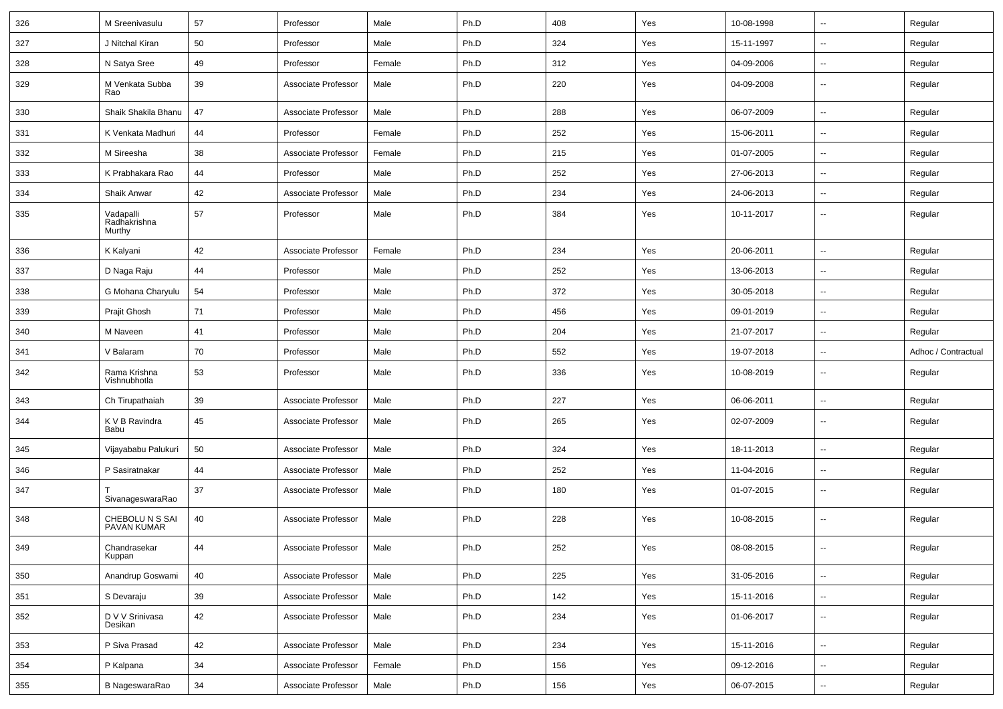| 326 | M Sreenivasulu                      | 57 | Professor           | Male   | Ph.D | 408 | Yes | 10-08-1998 | $\sim$                   | Regular             |
|-----|-------------------------------------|----|---------------------|--------|------|-----|-----|------------|--------------------------|---------------------|
| 327 | J Nitchal Kiran                     | 50 | Professor           | Male   | Ph.D | 324 | Yes | 15-11-1997 | $\sim$                   | Regular             |
| 328 | N Satya Sree                        | 49 | Professor           | Female | Ph.D | 312 | Yes | 04-09-2006 |                          | Regular             |
| 329 | M Venkata Subba<br>Rao              | 39 | Associate Professor | Male   | Ph.D | 220 | Yes | 04-09-2008 | $\overline{\phantom{a}}$ | Regular             |
| 330 | Shaik Shakila Bhanu                 | 47 | Associate Professor | Male   | Ph.D | 288 | Yes | 06-07-2009 | $\sim$                   | Regular             |
| 331 | K Venkata Madhuri                   | 44 | Professor           | Female | Ph.D | 252 | Yes | 15-06-2011 | $\mathbf{u}$             | Regular             |
| 332 | M Sireesha                          | 38 | Associate Professor | Female | Ph.D | 215 | Yes | 01-07-2005 |                          | Regular             |
| 333 | K Prabhakara Rao                    | 44 | Professor           | Male   | Ph.D | 252 | Yes | 27-06-2013 | $\sim$                   | Regular             |
| 334 | Shaik Anwar                         | 42 | Associate Professor | Male   | Ph.D | 234 | Yes | 24-06-2013 | $\sim$                   | Regular             |
| 335 | Vadapalli<br>Radhakrishna<br>Murthy | 57 | Professor           | Male   | Ph.D | 384 | Yes | 10-11-2017 | $\overline{\phantom{a}}$ | Regular             |
| 336 | K Kalyani                           | 42 | Associate Professor | Female | Ph.D | 234 | Yes | 20-06-2011 | $\sim$                   | Regular             |
| 337 | D Naga Raju                         | 44 | Professor           | Male   | Ph.D | 252 | Yes | 13-06-2013 | $\mathbf{u}$             | Regular             |
| 338 | G Mohana Charyulu                   | 54 | Professor           | Male   | Ph.D | 372 | Yes | 30-05-2018 | $\sim$                   | Regular             |
| 339 | Prajit Ghosh                        | 71 | Professor           | Male   | Ph.D | 456 | Yes | 09-01-2019 | $\mathbf{u}$             | Regular             |
| 340 | M Naveen                            | 41 | Professor           | Male   | Ph.D | 204 | Yes | 21-07-2017 | $\sim$                   | Regular             |
| 341 | V Balaram                           | 70 | Professor           | Male   | Ph.D | 552 | Yes | 19-07-2018 | $\sim$                   | Adhoc / Contractual |
| 342 | Rama Krishna<br>Vishnubhotla        | 53 | Professor           | Male   | Ph.D | 336 | Yes | 10-08-2019 | $\overline{\phantom{a}}$ | Regular             |
| 343 | Ch Tirupathaiah                     | 39 | Associate Professor | Male   | Ph.D | 227 | Yes | 06-06-2011 | $\sim$                   | Regular             |
| 344 | K V B Ravindra<br>Babu              | 45 | Associate Professor | Male   | Ph.D | 265 | Yes | 02-07-2009 | $\sim$                   | Regular             |
| 345 | Vijayababu Palukuri                 | 50 | Associate Professor | Male   | Ph.D | 324 | Yes | 18-11-2013 |                          | Regular             |
| 346 | P Sasiratnakar                      | 44 | Associate Professor | Male   | Ph.D | 252 | Yes | 11-04-2016 | $\sim$                   | Regular             |
| 347 | SivanageswaraRao                    | 37 | Associate Professor | Male   | Ph.D | 180 | Yes | 01-07-2015 | $\overline{\phantom{a}}$ | Regular             |
| 348 | CHEBOLU N S SAI<br>PAVAN KUMAR      | 40 | Associate Professor | Male   | Ph.D | 228 | Yes | 10-08-2015 | $\overline{\phantom{a}}$ | Regular             |
| 349 | Chandrasekar<br>Kuppan              | 44 | Associate Professor | Male   | Ph.D | 252 | Yes | 08-08-2015 |                          | Regular             |
| 350 | Anandrup Goswami                    | 40 | Associate Professor | Male   | Ph.D | 225 | Yes | 31-05-2016 | $\sim$                   | Regular             |
| 351 | S Devaraju                          | 39 | Associate Professor | Male   | Ph.D | 142 | Yes | 15-11-2016 | $\sim$                   | Regular             |
| 352 | D V V Srinivasa<br>Desikan          | 42 | Associate Professor | Male   | Ph.D | 234 | Yes | 01-06-2017 | $\sim$                   | Regular             |
| 353 | P Siva Prasad                       | 42 | Associate Professor | Male   | Ph.D | 234 | Yes | 15-11-2016 | $\sim$                   | Regular             |
| 354 | P Kalpana                           | 34 | Associate Professor | Female | Ph.D | 156 | Yes | 09-12-2016 | $\sim$                   | Regular             |
| 355 | B NageswaraRao                      | 34 | Associate Professor | Male   | Ph.D | 156 | Yes | 06-07-2015 | $\sim$                   | Regular             |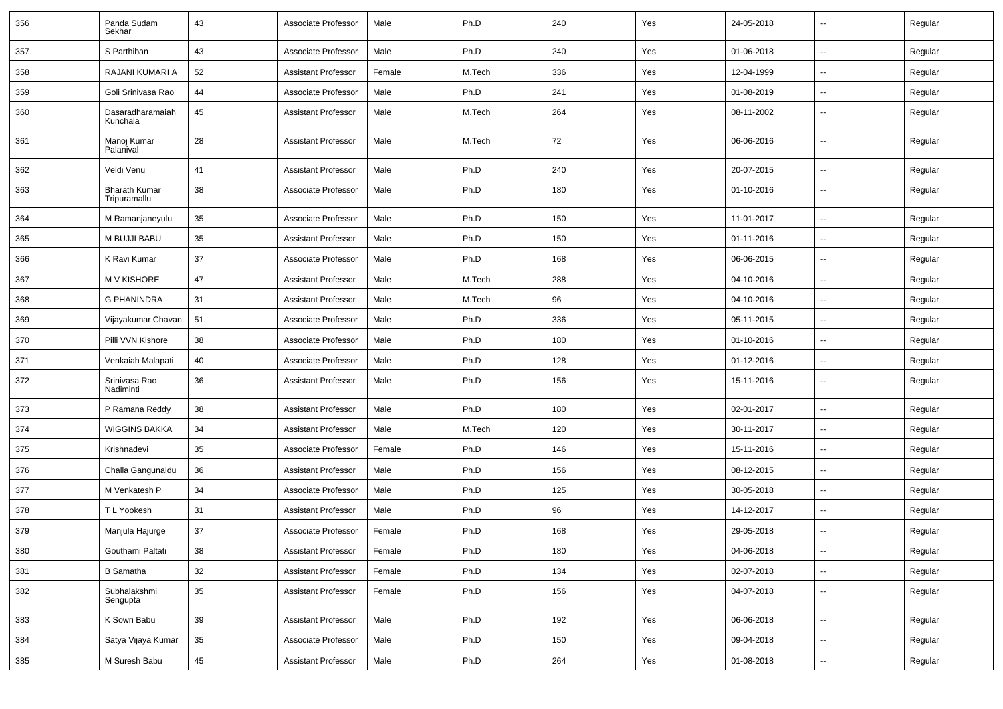| 356 | Panda Sudam<br>Sekhar                | 43 | Associate Professor        | Male   | Ph.D   | 240 | Yes | 24-05-2018 |                          | Regular |
|-----|--------------------------------------|----|----------------------------|--------|--------|-----|-----|------------|--------------------------|---------|
| 357 | S Parthiban                          | 43 | Associate Professor        | Male   | Ph.D   | 240 | Yes | 01-06-2018 | $\overline{\phantom{a}}$ | Regular |
| 358 | RAJANI KUMARI A                      | 52 | <b>Assistant Professor</b> | Female | M.Tech | 336 | Yes | 12-04-1999 | $\overline{a}$           | Regular |
| 359 | Goli Srinivasa Rao                   | 44 | Associate Professor        | Male   | Ph.D   | 241 | Yes | 01-08-2019 | $\overline{a}$           | Regular |
| 360 | Dasaradharamaiah<br>Kunchala         | 45 | <b>Assistant Professor</b> | Male   | M.Tech | 264 | Yes | 08-11-2002 | --                       | Regular |
| 361 | Manoj Kumar<br>Palanival             | 28 | <b>Assistant Professor</b> | Male   | M.Tech | 72  | Yes | 06-06-2016 | --                       | Regular |
| 362 | Veldi Venu                           | 41 | <b>Assistant Professor</b> | Male   | Ph.D   | 240 | Yes | 20-07-2015 | --                       | Regular |
| 363 | <b>Bharath Kumar</b><br>Tripuramallu | 38 | Associate Professor        | Male   | Ph.D   | 180 | Yes | 01-10-2016 | $\overline{\phantom{a}}$ | Regular |
| 364 | M Ramanjaneyulu                      | 35 | Associate Professor        | Male   | Ph.D   | 150 | Yes | 11-01-2017 | $\overline{\phantom{a}}$ | Regular |
| 365 | M BUJJI BABU                         | 35 | <b>Assistant Professor</b> | Male   | Ph.D   | 150 | Yes | 01-11-2016 | ⊷.                       | Regular |
| 366 | K Ravi Kumar                         | 37 | Associate Professor        | Male   | Ph.D   | 168 | Yes | 06-06-2015 | н.                       | Regular |
| 367 | <b>MV KISHORE</b>                    | 47 | <b>Assistant Professor</b> | Male   | M.Tech | 288 | Yes | 04-10-2016 | $\overline{a}$           | Regular |
| 368 | <b>G PHANINDRA</b>                   | 31 | <b>Assistant Professor</b> | Male   | M.Tech | 96  | Yes | 04-10-2016 | --                       | Regular |
| 369 | Vijayakumar Chavan                   | 51 | Associate Professor        | Male   | Ph.D   | 336 | Yes | 05-11-2015 | --                       | Regular |
| 370 | Pilli VVN Kishore                    | 38 | Associate Professor        | Male   | Ph.D   | 180 | Yes | 01-10-2016 | $\overline{\phantom{a}}$ | Regular |
| 371 | Venkaiah Malapati                    | 40 | Associate Professor        | Male   | Ph.D   | 128 | Yes | 01-12-2016 | $\overline{\phantom{a}}$ | Regular |
| 372 | Srinivasa Rao<br>Nadiminti           | 36 | <b>Assistant Professor</b> | Male   | Ph.D   | 156 | Yes | 15-11-2016 | -−                       | Regular |
| 373 | P Ramana Reddy                       | 38 | <b>Assistant Professor</b> | Male   | Ph.D   | 180 | Yes | 02-01-2017 | --                       | Regular |
| 374 | <b>WIGGINS BAKKA</b>                 | 34 | <b>Assistant Professor</b> | Male   | M.Tech | 120 | Yes | 30-11-2017 | $\overline{\phantom{a}}$ | Regular |
| 375 | Krishnadevi                          | 35 | Associate Professor        | Female | Ph.D   | 146 | Yes | 15-11-2016 | --                       | Regular |
| 376 | Challa Gangunaidu                    | 36 | <b>Assistant Professor</b> | Male   | Ph.D   | 156 | Yes | 08-12-2015 |                          | Regular |
| 377 | M Venkatesh P                        | 34 | Associate Professor        | Male   | Ph.D   | 125 | Yes | 30-05-2018 | $\overline{\phantom{a}}$ | Regular |
| 378 | T L Yookesh                          | 31 | <b>Assistant Professor</b> | Male   | Ph.D   | 96  | Yes | 14-12-2017 | $\overline{\phantom{a}}$ | Regular |
| 379 | Manjula Hajurge                      | 37 | Associate Professor        | Female | Ph.D   | 168 | Yes | 29-05-2018 | --                       | Regular |
| 380 | Gouthami Paltati                     | 38 | Assistant Professor        | Female | Ph.D   | 180 | Yes | 04-06-2018 | −−                       | Regular |
| 381 | <b>B</b> Samatha                     | 32 | <b>Assistant Professor</b> | Female | Ph.D   | 134 | Yes | 02-07-2018 | $\overline{\phantom{a}}$ | Regular |
| 382 | Subhalakshmi<br>Sengupta             | 35 | <b>Assistant Professor</b> | Female | Ph.D   | 156 | Yes | 04-07-2018 | ш,                       | Regular |
| 383 | K Sowri Babu                         | 39 | <b>Assistant Professor</b> | Male   | Ph.D   | 192 | Yes | 06-06-2018 | $\sim$                   | Regular |
| 384 | Satya Vijaya Kumar                   | 35 | Associate Professor        | Male   | Ph.D   | 150 | Yes | 09-04-2018 | $\overline{\phantom{a}}$ | Regular |
| 385 | M Suresh Babu                        | 45 | <b>Assistant Professor</b> | Male   | Ph.D   | 264 | Yes | 01-08-2018 | $\sim$                   | Regular |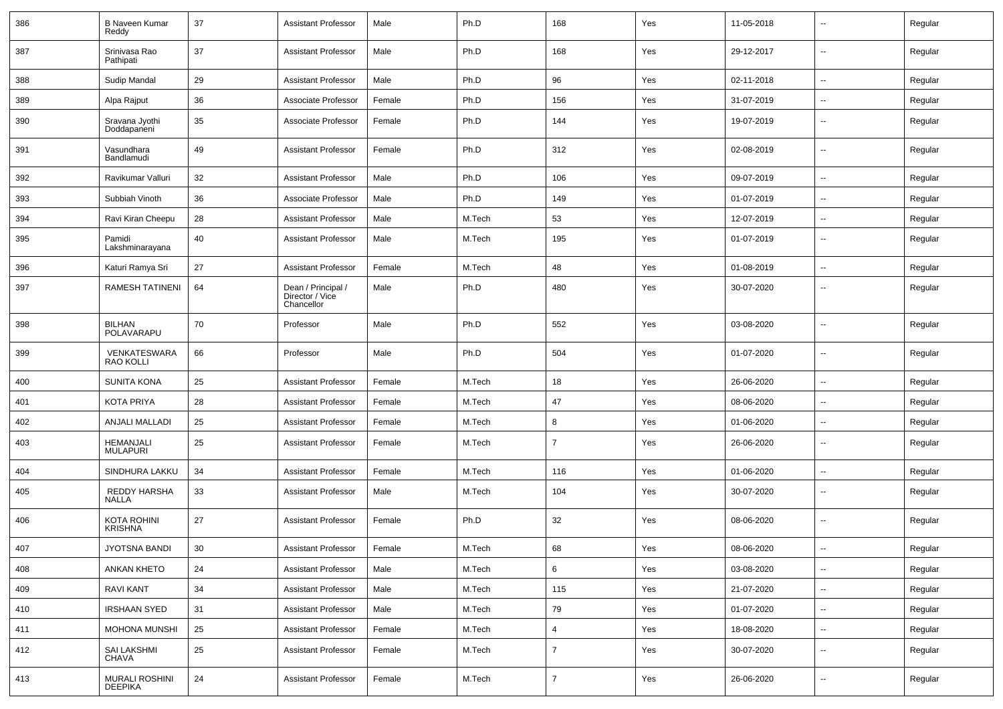| 386 | <b>B Naveen Kumar</b><br>Reddy   | 37     | <b>Assistant Professor</b>                          | Male   | Ph.D   | 168            | Yes | 11-05-2018 | $\overline{\phantom{a}}$ | Regular |
|-----|----------------------------------|--------|-----------------------------------------------------|--------|--------|----------------|-----|------------|--------------------------|---------|
| 387 | Srinivasa Rao<br>Pathipati       | 37     | <b>Assistant Professor</b>                          | Male   | Ph.D   | 168            | Yes | 29-12-2017 | $\sim$                   | Regular |
| 388 | Sudip Mandal                     | 29     | <b>Assistant Professor</b>                          | Male   | Ph.D   | 96             | Yes | 02-11-2018 | $\sim$                   | Regular |
| 389 | Alpa Rajput                      | 36     | Associate Professor                                 | Female | Ph.D   | 156            | Yes | 31-07-2019 | $\overline{\phantom{a}}$ | Regular |
| 390 | Sravana Jyothi<br>Doddapaneni    | 35     | Associate Professor                                 | Female | Ph.D   | 144            | Yes | 19-07-2019 | $\overline{\phantom{a}}$ | Regular |
| 391 | Vasundhara<br>Bandlamudi         | 49     | <b>Assistant Professor</b>                          | Female | Ph.D   | 312            | Yes | 02-08-2019 | $\overline{\phantom{a}}$ | Regular |
| 392 | Ravikumar Valluri                | 32     | <b>Assistant Professor</b>                          | Male   | Ph.D   | 106            | Yes | 09-07-2019 | $\overline{a}$           | Regular |
| 393 | Subbiah Vinoth                   | 36     | Associate Professor                                 | Male   | Ph.D   | 149            | Yes | 01-07-2019 | $\overline{\phantom{a}}$ | Regular |
| 394 | Ravi Kiran Cheepu                | 28     | <b>Assistant Professor</b>                          | Male   | M.Tech | 53             | Yes | 12-07-2019 |                          | Regular |
| 395 | Pamidi<br>Lakshminarayana        | 40     | <b>Assistant Professor</b>                          | Male   | M.Tech | 195            | Yes | 01-07-2019 | $\sim$                   | Regular |
| 396 | Katuri Ramya Sri                 | 27     | <b>Assistant Professor</b>                          | Female | M.Tech | 48             | Yes | 01-08-2019 | $\sim$                   | Regular |
| 397 | RAMESH TATINENI                  | 64     | Dean / Principal /<br>Director / Vice<br>Chancellor | Male   | Ph.D   | 480            | Yes | 30-07-2020 | $\overline{\phantom{a}}$ | Regular |
| 398 | <b>BILHAN</b><br>POLAVARAPU      | 70     | Professor                                           | Male   | Ph.D   | 552            | Yes | 03-08-2020 | $\overline{\phantom{a}}$ | Regular |
| 399 | VENKATESWARA<br><b>RAO KOLLI</b> | 66     | Professor                                           | Male   | Ph.D   | 504            | Yes | 01-07-2020 | $\overline{a}$           | Regular |
| 400 | <b>SUNITA KONA</b>               | 25     | <b>Assistant Professor</b>                          | Female | M.Tech | 18             | Yes | 26-06-2020 | $\overline{\phantom{a}}$ | Regular |
| 401 | <b>KOTA PRIYA</b>                | 28     | <b>Assistant Professor</b>                          | Female | M.Tech | 47             | Yes | 08-06-2020 | $\sim$                   | Regular |
| 402 | <b>ANJALI MALLADI</b>            | 25     | <b>Assistant Professor</b>                          | Female | M.Tech | 8              | Yes | 01-06-2020 |                          | Regular |
| 403 | HEMANJALI<br><b>MULAPURI</b>     | 25     | <b>Assistant Professor</b>                          | Female | M.Tech | $\overline{7}$ | Yes | 26-06-2020 | $\overline{a}$           | Regular |
| 404 | SINDHURA LAKKU                   | 34     | <b>Assistant Professor</b>                          | Female | M.Tech | 116            | Yes | 01-06-2020 | $\overline{\phantom{a}}$ | Regular |
| 405 | REDDY HARSHA<br><b>NALLA</b>     | 33     | <b>Assistant Professor</b>                          | Male   | M.Tech | 104            | Yes | 30-07-2020 | $\overline{a}$           | Regular |
| 406 | KOTA ROHINI<br><b>KRISHNA</b>    | 27     | <b>Assistant Professor</b>                          | Female | Ph.D   | 32             | Yes | 08-06-2020 | ⊷.                       | Regular |
| 407 | JYOTSNA BANDI                    | $30\,$ | Assistant Professor                                 | Female | M.Tech | 68             | Yes | 08-06-2020 |                          | Regular |
| 408 | <b>ANKAN KHETO</b>               | 24     | Assistant Professor                                 | Male   | M.Tech | 6              | Yes | 03-08-2020 | $\sim$                   | Regular |
| 409 | RAVI KANT                        | 34     | <b>Assistant Professor</b>                          | Male   | M.Tech | 115            | Yes | 21-07-2020 | $\overline{\phantom{a}}$ | Regular |
| 410 | <b>IRSHAAN SYED</b>              | 31     | <b>Assistant Professor</b>                          | Male   | M.Tech | 79             | Yes | 01-07-2020 | $\sim$                   | Regular |
| 411 | MOHONA MUNSHI                    | 25     | <b>Assistant Professor</b>                          | Female | M.Tech | $\overline{4}$ | Yes | 18-08-2020 | ⊷.                       | Regular |
| 412 | SAI LAKSHMI<br>CHAVA             | 25     | <b>Assistant Professor</b>                          | Female | M.Tech | $\overline{7}$ | Yes | 30-07-2020 | $\overline{\phantom{a}}$ | Regular |
| 413 | MURALI ROSHINI<br><b>DEEPIKA</b> | 24     | <b>Assistant Professor</b>                          | Female | M.Tech | $\overline{7}$ | Yes | 26-06-2020 | н.                       | Regular |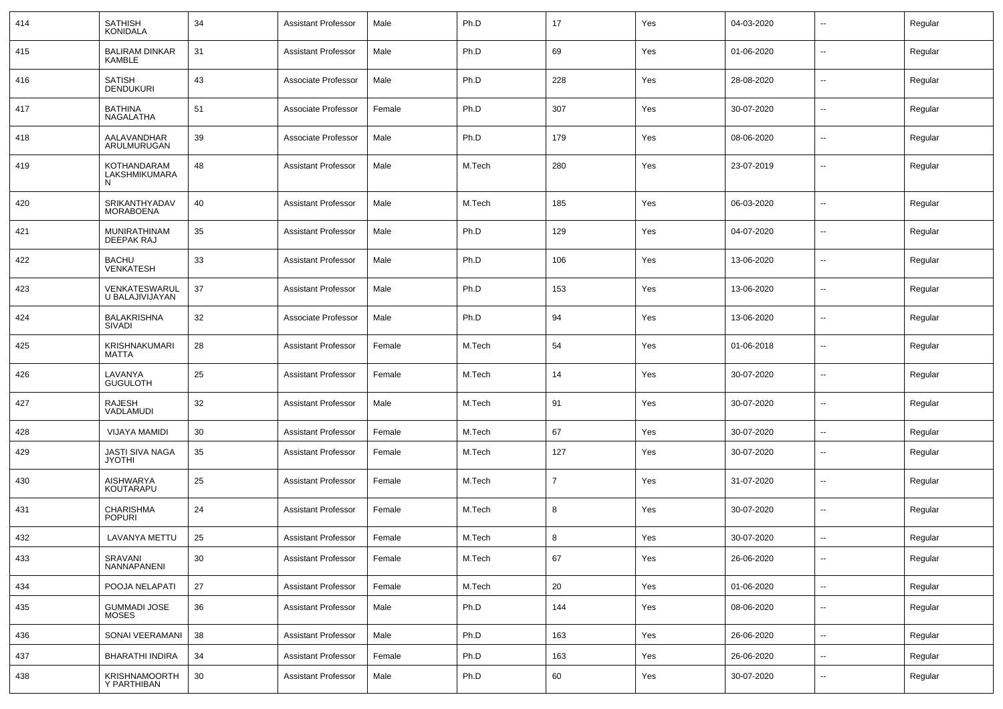| 414 | <b>SATHISH</b><br><b>KONIDALA</b>       | 34 | <b>Assistant Professor</b> | Male   | Ph.D   | 17  | Yes | 04-03-2020 | $\overline{\phantom{a}}$ | Regular |
|-----|-----------------------------------------|----|----------------------------|--------|--------|-----|-----|------------|--------------------------|---------|
| 415 | <b>BALIRAM DINKAR</b><br><b>KAMBLE</b>  | 31 | <b>Assistant Professor</b> | Male   | Ph.D   | 69  | Yes | 01-06-2020 | $\sim$                   | Regular |
| 416 | <b>SATISH</b><br><b>DENDUKURI</b>       | 43 | Associate Professor        | Male   | Ph.D   | 228 | Yes | 28-08-2020 | $\sim$                   | Regular |
| 417 | <b>BATHINA</b><br>NAGALATHA             | 51 | Associate Professor        | Female | Ph.D   | 307 | Yes | 30-07-2020 | $\sim$                   | Regular |
| 418 | AALAVANDHAR<br>ARULMURUGAN              | 39 | Associate Professor        | Male   | Ph.D   | 179 | Yes | 08-06-2020 | $\sim$                   | Regular |
| 419 | KOTHANDARAM<br>LAKSHMIKUMARA<br>N       | 48 | <b>Assistant Professor</b> | Male   | M.Tech | 280 | Yes | 23-07-2019 | $\mathbf{u}$             | Regular |
| 420 | SRIKANTHYADAV<br><b>MORABOENA</b>       | 40 | <b>Assistant Professor</b> | Male   | M.Tech | 185 | Yes | 06-03-2020 | $\mathbf{u}$             | Regular |
| 421 | <b>MUNIRATHINAM</b><br>DEEPAK RAJ       | 35 | <b>Assistant Professor</b> | Male   | Ph.D   | 129 | Yes | 04-07-2020 | $\overline{\phantom{a}}$ | Regular |
| 422 | <b>BACHU</b><br><b>VENKATESH</b>        | 33 | <b>Assistant Professor</b> | Male   | Ph.D   | 106 | Yes | 13-06-2020 | $\mathbf{u}$             | Regular |
| 423 | VENKATESWARUL<br>U BALAJIVIJAYAN        | 37 | <b>Assistant Professor</b> | Male   | Ph.D   | 153 | Yes | 13-06-2020 | $\overline{\phantom{a}}$ | Regular |
| 424 | <b>BALAKRISHNA</b><br><b>SIVADI</b>     | 32 | Associate Professor        | Male   | Ph.D   | 94  | Yes | 13-06-2020 | $\mathbf{u}$             | Regular |
| 425 | KRISHNAKUMARI<br>MATTA                  | 28 | <b>Assistant Professor</b> | Female | M.Tech | 54  | Yes | 01-06-2018 | $\overline{\phantom{a}}$ | Regular |
| 426 | LAVANYA<br><b>GUGULOTH</b>              | 25 | <b>Assistant Professor</b> | Female | M.Tech | 14  | Yes | 30-07-2020 | $\mathbf{u}$             | Regular |
| 427 | <b>RAJESH</b><br>VADLAMUDI              | 32 | <b>Assistant Professor</b> | Male   | M.Tech | 91  | Yes | 30-07-2020 | $\mathbf{u}$             | Regular |
| 428 | <b>VIJAYA MAMIDI</b>                    | 30 | <b>Assistant Professor</b> | Female | M.Tech | 67  | Yes | 30-07-2020 | $\sim$                   | Regular |
| 429 | <b>JASTI SIVA NAGA</b><br><b>JYOTHI</b> | 35 | Assistant Professor        | Female | M.Tech | 127 | Yes | 30-07-2020 | $\sim$                   | Regular |
| 430 | <b>AISHWARYA</b><br><b>KOUTARAPU</b>    | 25 | Assistant Professor        | Female | M.Tech | 7   | Yes | 31-07-2020 | $\sim$                   | Regular |
| 431 | <b>CHARISHMA</b><br><b>POPURI</b>       | 24 | <b>Assistant Professor</b> | Female | M.Tech | 8   | Yes | 30-07-2020 | $\sim$                   | Regular |
| 432 | LAVANYA METTU                           | 25 | <b>Assistant Professor</b> | Female | M.Tech | 8   | Yes | 30-07-2020 | $\overline{a}$           | Regular |
| 433 | SRAVANI<br>NANNAPANENI                  | 30 | <b>Assistant Professor</b> | Female | M.Tech | 67  | Yes | 26-06-2020 | $\mathbf{u}$             | Regular |
| 434 | POOJA NELAPATI                          | 27 | <b>Assistant Professor</b> | Female | M.Tech | 20  | Yes | 01-06-2020 | $\overline{\phantom{a}}$ | Regular |
| 435 | <b>GUMMADI JOSE</b><br><b>MOSES</b>     | 36 | <b>Assistant Professor</b> | Male   | Ph.D   | 144 | Yes | 08-06-2020 | $\mathbf{u}$             | Regular |
| 436 | SONAI VEERAMANI                         | 38 | <b>Assistant Professor</b> | Male   | Ph.D   | 163 | Yes | 26-06-2020 | $\mathbf{u}$             | Regular |
| 437 | <b>BHARATHI INDIRA</b>                  | 34 | <b>Assistant Professor</b> | Female | Ph.D   | 163 | Yes | 26-06-2020 | $\sim$                   | Regular |
| 438 | KRISHNAMOORTH<br>Y PARTHIBAN            | 30 | <b>Assistant Professor</b> | Male   | Ph.D   | 60  | Yes | 30-07-2020 | $\overline{\phantom{a}}$ | Regular |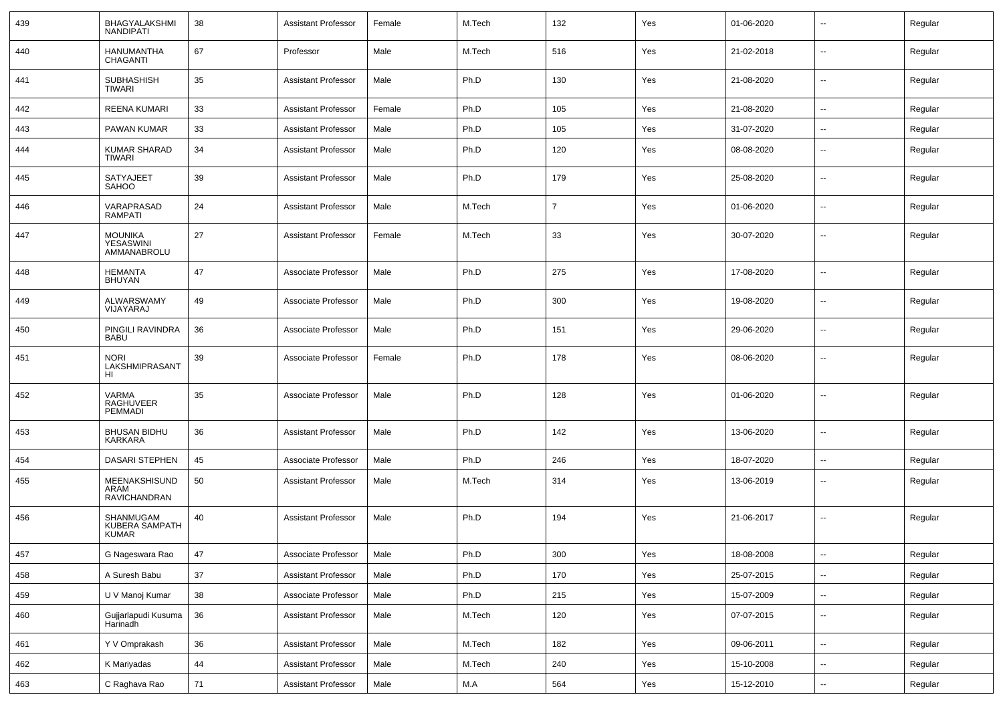| 439 | <b>BHAGYALAKSHMI</b><br>NANDIPATI                  | 38     | <b>Assistant Professor</b> | Female | M.Tech | 132            | Yes | 01-06-2020 | $\overline{\phantom{a}}$ | Regular |
|-----|----------------------------------------------------|--------|----------------------------|--------|--------|----------------|-----|------------|--------------------------|---------|
| 440 | <b>HANUMANTHA</b><br>CHAGANTI                      | 67     | Professor                  | Male   | M.Tech | 516            | Yes | 21-02-2018 | $\overline{\phantom{a}}$ | Regular |
| 441 | <b>SUBHASHISH</b><br>TIWARI                        | 35     | <b>Assistant Professor</b> | Male   | Ph.D   | 130            | Yes | 21-08-2020 | $\mathbf{u}$             | Regular |
| 442 | <b>REENA KUMARI</b>                                | 33     | <b>Assistant Professor</b> | Female | Ph.D   | 105            | Yes | 21-08-2020 | $\mathbf{u}$             | Regular |
| 443 | <b>PAWAN KUMAR</b>                                 | 33     | <b>Assistant Professor</b> | Male   | Ph.D   | 105            | Yes | 31-07-2020 | $\sim$                   | Regular |
| 444 | <b>KUMAR SHARAD</b><br>TIWARI                      | 34     | <b>Assistant Professor</b> | Male   | Ph.D   | 120            | Yes | 08-08-2020 | $\mathbf{u}$             | Regular |
| 445 | <b>SATYAJEET</b><br>SAHOO                          | 39     | <b>Assistant Professor</b> | Male   | Ph.D   | 179            | Yes | 25-08-2020 | $\overline{\phantom{a}}$ | Regular |
| 446 | VARAPRASAD<br><b>RAMPATI</b>                       | 24     | <b>Assistant Professor</b> | Male   | M.Tech | $\overline{7}$ | Yes | 01-06-2020 | $\mathbf{u}$             | Regular |
| 447 | <b>MOUNIKA</b><br><b>YESASWINI</b><br>AMMANABROLU  | 27     | <b>Assistant Professor</b> | Female | M.Tech | 33             | Yes | 30-07-2020 | $\overline{\phantom{a}}$ | Regular |
| 448 | <b>HEMANTA</b><br><b>BHUYAN</b>                    | 47     | Associate Professor        | Male   | Ph.D   | 275            | Yes | 17-08-2020 | $\overline{\phantom{a}}$ | Regular |
| 449 | ALWARSWAMY<br>VIJAYARAJ                            | 49     | Associate Professor        | Male   | Ph.D   | 300            | Yes | 19-08-2020 | $\mathbf{u}$             | Regular |
| 450 | PINGILI RAVINDRA<br><b>BABU</b>                    | 36     | Associate Professor        | Male   | Ph.D   | 151            | Yes | 29-06-2020 | $\overline{\phantom{a}}$ | Regular |
| 451 | <b>NORI</b><br>LAKSHMIPRASANT<br>HL                | 39     | Associate Professor        | Female | Ph.D   | 178            | Yes | 08-06-2020 | $\overline{\phantom{a}}$ | Regular |
| 452 | <b>VARMA</b><br>RAGHUVEER<br>PEMMADI               | 35     | Associate Professor        | Male   | Ph.D   | 128            | Yes | 01-06-2020 | $\overline{\phantom{a}}$ | Regular |
| 453 | <b>BHUSAN BIDHU</b><br>KARKARA                     | 36     | <b>Assistant Professor</b> | Male   | Ph.D   | 142            | Yes | 13-06-2020 | $\overline{\phantom{a}}$ | Regular |
| 454 | <b>DASARI STEPHEN</b>                              | 45     | Associate Professor        | Male   | Ph.D   | 246            | Yes | 18-07-2020 | $\mathbf{u}$             | Regular |
| 455 | MEENAKSHISUND<br>ARAM<br><b>RAVICHANDRAN</b>       | 50     | <b>Assistant Professor</b> | Male   | M.Tech | 314            | Yes | 13-06-2019 | $\overline{\phantom{a}}$ | Regular |
| 456 | SHANMUGAM<br><b>KUBERA SAMPATH</b><br><b>KUMAR</b> | 40     | <b>Assistant Professor</b> | Male   | Ph.D   | 194            | Yes | 21-06-2017 | $\overline{\phantom{a}}$ | Regular |
| 457 | G Nageswara Rao                                    | 47     | Associate Professor        | Male   | Ph.D   | 300            | Yes | 18-08-2008 | Ξ.                       | Regular |
| 458 | A Suresh Babu                                      | 37     | <b>Assistant Professor</b> | Male   | Ph.D   | 170            | Yes | 25-07-2015 | $\ddotsc$                | Regular |
| 459 | U V Manoj Kumar                                    | 38     | Associate Professor        | Male   | Ph.D   | 215            | Yes | 15-07-2009 | Ξ.                       | Regular |
| 460 | Gujjarlapudi Kusuma<br>Harinadh                    | 36     | Assistant Professor        | Male   | M.Tech | 120            | Yes | 07-07-2015 | ۰.                       | Regular |
| 461 | Y V Omprakash                                      | $36\,$ | <b>Assistant Professor</b> | Male   | M.Tech | 182            | Yes | 09-06-2011 | $\sim$                   | Regular |
| 462 | K Mariyadas                                        | 44     | <b>Assistant Professor</b> | Male   | M.Tech | 240            | Yes | 15-10-2008 | $\overline{\phantom{a}}$ | Regular |
| 463 | C Raghava Rao                                      | 71     | Assistant Professor        | Male   | M.A    | 564            | Yes | 15-12-2010 | $\overline{\phantom{a}}$ | Regular |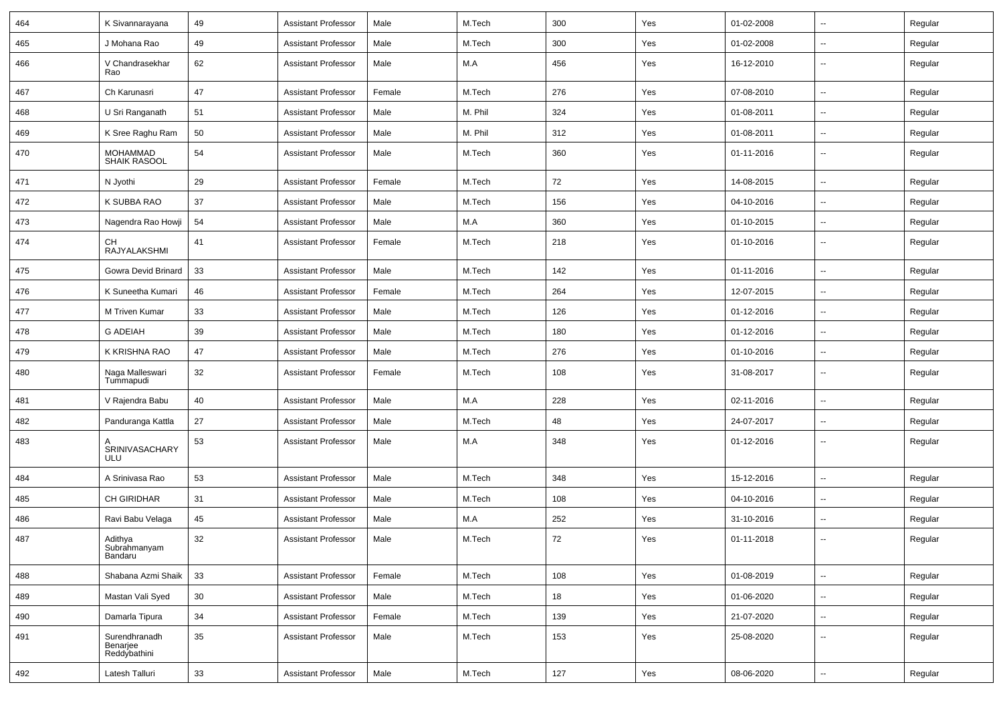| 464 | K Sivannarayana                           | 49 | <b>Assistant Professor</b> | Male   | M.Tech  | 300 | Yes | 01-02-2008 | $\overline{\phantom{a}}$ | Regular |
|-----|-------------------------------------------|----|----------------------------|--------|---------|-----|-----|------------|--------------------------|---------|
| 465 | J Mohana Rao                              | 49 | <b>Assistant Professor</b> | Male   | M.Tech  | 300 | Yes | 01-02-2008 | $\overline{\phantom{a}}$ | Regular |
| 466 | V Chandrasekhar<br>Rao                    | 62 | <b>Assistant Professor</b> | Male   | M.A     | 456 | Yes | 16-12-2010 | --                       | Regular |
| 467 | Ch Karunasri                              | 47 | <b>Assistant Professor</b> | Female | M.Tech  | 276 | Yes | 07-08-2010 | $\overline{\phantom{a}}$ | Regular |
| 468 | U Sri Ranganath                           | 51 | <b>Assistant Professor</b> | Male   | M. Phil | 324 | Yes | 01-08-2011 | -−                       | Regular |
| 469 | K Sree Raghu Ram                          | 50 | <b>Assistant Professor</b> | Male   | M. Phil | 312 | Yes | 01-08-2011 | Ξ.                       | Regular |
| 470 | <b>MOHAMMAD</b><br>SHAIK RASOOL           | 54 | <b>Assistant Professor</b> | Male   | M.Tech  | 360 | Yes | 01-11-2016 | $\overline{\phantom{a}}$ | Regular |
| 471 | N Jyothi                                  | 29 | <b>Assistant Professor</b> | Female | M.Tech  | 72  | Yes | 14-08-2015 | Ξ.                       | Regular |
| 472 | K SUBBA RAO                               | 37 | <b>Assistant Professor</b> | Male   | M.Tech  | 156 | Yes | 04-10-2016 | ⊷.                       | Regular |
| 473 | Nagendra Rao Howji                        | 54 | <b>Assistant Professor</b> | Male   | M.A     | 360 | Yes | 01-10-2015 | $\sim$                   | Regular |
| 474 | CН<br>RAJYALAKSHMI                        | 41 | <b>Assistant Professor</b> | Female | M.Tech  | 218 | Yes | 01-10-2016 | $\overline{\phantom{a}}$ | Regular |
| 475 | Gowra Devid Brinard                       | 33 | <b>Assistant Professor</b> | Male   | M.Tech  | 142 | Yes | 01-11-2016 | $\overline{\phantom{a}}$ | Regular |
| 476 | K Suneetha Kumari                         | 46 | <b>Assistant Professor</b> | Female | M.Tech  | 264 | Yes | 12-07-2015 | -−                       | Regular |
| 477 | M Triven Kumar                            | 33 | <b>Assistant Professor</b> | Male   | M.Tech  | 126 | Yes | 01-12-2016 | $\overline{\phantom{a}}$ | Regular |
| 478 | <b>G ADEIAH</b>                           | 39 | <b>Assistant Professor</b> | Male   | M.Tech  | 180 | Yes | 01-12-2016 | $\sim$                   | Regular |
| 479 | K KRISHNA RAO                             | 47 | <b>Assistant Professor</b> | Male   | M.Tech  | 276 | Yes | 01-10-2016 | ⊷.                       | Regular |
| 480 | Naga Malleswari<br>Tummapudi              | 32 | <b>Assistant Professor</b> | Female | M.Tech  | 108 | Yes | 31-08-2017 | $\overline{\phantom{a}}$ | Regular |
| 481 | V Rajendra Babu                           | 40 | <b>Assistant Professor</b> | Male   | M.A     | 228 | Yes | 02-11-2016 | $\sim$                   | Regular |
| 482 | Panduranga Kattla                         | 27 | <b>Assistant Professor</b> | Male   | M.Tech  | 48  | Yes | 24-07-2017 | -−                       | Regular |
| 483 | SRINIVASACHARY<br><b>ULU</b>              | 53 | <b>Assistant Professor</b> | Male   | M.A     | 348 | Yes | 01-12-2016 | --                       | Regular |
| 484 | A Srinivasa Rao                           | 53 | <b>Assistant Professor</b> | Male   | M.Tech  | 348 | Yes | 15-12-2016 | $\overline{\phantom{a}}$ | Regular |
| 485 | <b>CH GIRIDHAR</b>                        | 31 | <b>Assistant Professor</b> | Male   | M.Tech  | 108 | Yes | 04-10-2016 | --                       | Regular |
| 486 | Ravi Babu Velaga                          | 45 | <b>Assistant Professor</b> | Male   | M.A     | 252 | Yes | 31-10-2016 | $\overline{\phantom{a}}$ | Regular |
| 487 | Adithya<br>Subrahmanyam<br>Bandaru        | 32 | <b>Assistant Professor</b> | Male   | M.Tech  | 72  | Yes | 01-11-2018 | $\overline{\phantom{a}}$ | Regular |
| 488 | Shabana Azmi Shaik                        | 33 | <b>Assistant Professor</b> | Female | M.Tech  | 108 | Yes | 01-08-2019 | н.                       | Regular |
| 489 | Mastan Vali Syed                          | 30 | <b>Assistant Professor</b> | Male   | M.Tech  | 18  | Yes | 01-06-2020 | $\overline{\phantom{a}}$ | Regular |
| 490 | Damarla Tipura                            | 34 | <b>Assistant Professor</b> | Female | M.Tech  | 139 | Yes | 21-07-2020 | $\sim$                   | Regular |
| 491 | Surendhranadh<br>Benarjee<br>Reddybathini | 35 | <b>Assistant Professor</b> | Male   | M.Tech  | 153 | Yes | 25-08-2020 | Ξ.                       | Regular |
| 492 | Latesh Talluri                            | 33 | <b>Assistant Professor</b> | Male   | M.Tech  | 127 | Yes | 08-06-2020 | $\sim$                   | Regular |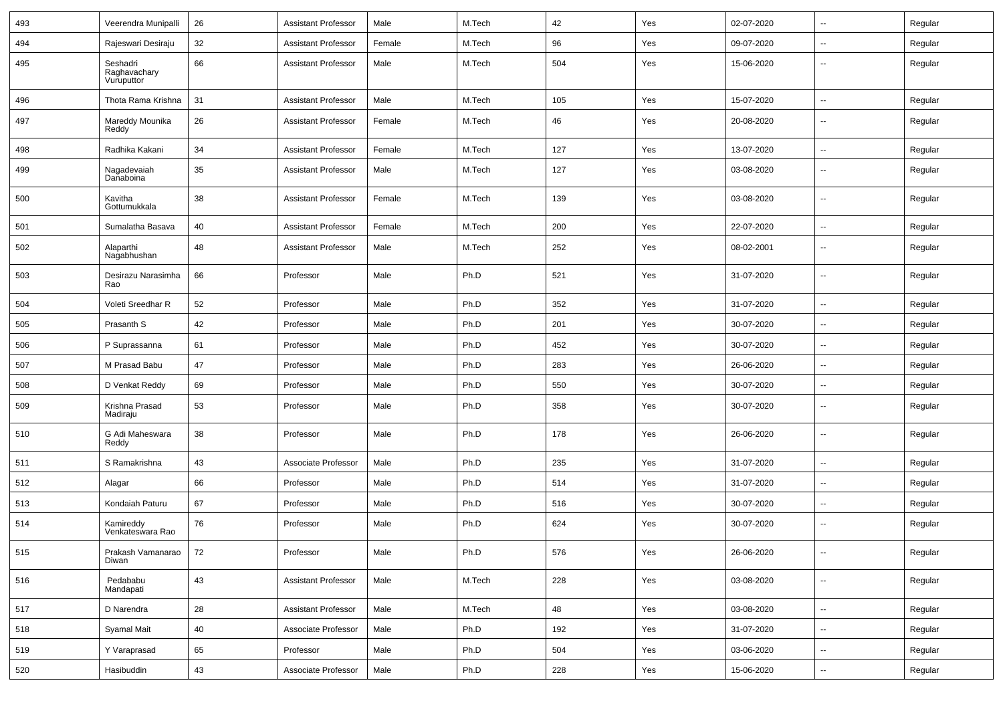| 493 | Veerendra Munipalli                    | 26     | <b>Assistant Professor</b> | Male   | M.Tech | 42  | Yes | 02-07-2020 | $\overline{\phantom{a}}$ | Regular |
|-----|----------------------------------------|--------|----------------------------|--------|--------|-----|-----|------------|--------------------------|---------|
| 494 | Rajeswari Desiraju                     | 32     | <b>Assistant Professor</b> | Female | M.Tech | 96  | Yes | 09-07-2020 | $\overline{a}$           | Regular |
| 495 | Seshadri<br>Raghavachary<br>Vuruputtor | 66     | <b>Assistant Professor</b> | Male   | M.Tech | 504 | Yes | 15-06-2020 | --                       | Regular |
| 496 | Thota Rama Krishna                     | 31     | <b>Assistant Professor</b> | Male   | M.Tech | 105 | Yes | 15-07-2020 | ш.                       | Regular |
| 497 | Mareddy Mounika<br>Reddy               | 26     | <b>Assistant Professor</b> | Female | M.Tech | 46  | Yes | 20-08-2020 | --                       | Regular |
| 498 | Radhika Kakani                         | 34     | <b>Assistant Professor</b> | Female | M.Tech | 127 | Yes | 13-07-2020 | $\overline{\phantom{a}}$ | Regular |
| 499 | Nagadevaiah<br>Danaboina               | 35     | <b>Assistant Professor</b> | Male   | M.Tech | 127 | Yes | 03-08-2020 | --                       | Regular |
| 500 | Kavitha<br>Gottumukkala                | 38     | <b>Assistant Professor</b> | Female | M.Tech | 139 | Yes | 03-08-2020 | $\overline{\phantom{a}}$ | Regular |
| 501 | Sumalatha Basava                       | 40     | <b>Assistant Professor</b> | Female | M.Tech | 200 | Yes | 22-07-2020 | --                       | Regular |
| 502 | Alaparthi<br>Nagabhushan               | 48     | <b>Assistant Professor</b> | Male   | M.Tech | 252 | Yes | 08-02-2001 | $\overline{\phantom{a}}$ | Regular |
| 503 | Desirazu Narasimha<br>Rao              | 66     | Professor                  | Male   | Ph.D   | 521 | Yes | 31-07-2020 | $\mathbf{u}$             | Regular |
| 504 | Voleti Sreedhar R                      | 52     | Professor                  | Male   | Ph.D   | 352 | Yes | 31-07-2020 | $\overline{\phantom{a}}$ | Regular |
| 505 | Prasanth S                             | 42     | Professor                  | Male   | Ph.D   | 201 | Yes | 30-07-2020 | $\sim$                   | Regular |
| 506 | P Suprassanna                          | 61     | Professor                  | Male   | Ph.D   | 452 | Yes | 30-07-2020 | ⊷.                       | Regular |
| 507 | M Prasad Babu                          | 47     | Professor                  | Male   | Ph.D   | 283 | Yes | 26-06-2020 | --                       | Regular |
| 508 | D Venkat Reddy                         | 69     | Professor                  | Male   | Ph.D   | 550 | Yes | 30-07-2020 | --                       | Regular |
| 509 | Krishna Prasad<br>Madiraju             | 53     | Professor                  | Male   | Ph.D   | 358 | Yes | 30-07-2020 | $\overline{\phantom{a}}$ | Regular |
| 510 | G Adi Maheswara<br>Reddy               | 38     | Professor                  | Male   | Ph.D   | 178 | Yes | 26-06-2020 | --                       | Regular |
| 511 | S Ramakrishna                          | 43     | Associate Professor        | Male   | Ph.D   | 235 | Yes | 31-07-2020 | $\overline{\phantom{a}}$ | Regular |
| 512 | Alagar                                 | 66     | Professor                  | Male   | Ph.D   | 514 | Yes | 31-07-2020 | $\overline{\phantom{a}}$ | Regular |
| 513 | Kondaiah Paturu                        | 67     | Professor                  | Male   | Ph.D   | 516 | Yes | 30-07-2020 | $\sim$                   | Regular |
| 514 | Kamireddy<br>Venkateswara Rao          | 76     | Professor                  | Male   | Ph.D   | 624 | Yes | 30-07-2020 | -−                       | Regular |
| 515 | Prakash Vamanarao<br>Diwan             | 72     | Professor                  | Male   | Ph.D   | 576 | Yes | 26-06-2020 | ۰.                       | Regular |
| 516 | Pedababu<br>Mandapati                  | 43     | <b>Assistant Professor</b> | Male   | M.Tech | 228 | Yes | 03-08-2020 | $\sim$                   | Regular |
| 517 | D Narendra                             | 28     | Assistant Professor        | Male   | M.Tech | 48  | Yes | 03-08-2020 | н.                       | Regular |
| 518 | Syamal Mait                            | 40     | Associate Professor        | Male   | Ph.D   | 192 | Yes | 31-07-2020 | $\overline{\phantom{a}}$ | Regular |
| 519 | Y Varaprasad                           | 65     | Professor                  | Male   | Ph.D   | 504 | Yes | 03-06-2020 | $\overline{\phantom{a}}$ | Regular |
| 520 | Hasibuddin                             | $43\,$ | Associate Professor        | Male   | Ph.D   | 228 | Yes | 15-06-2020 | $\sim$                   | Regular |